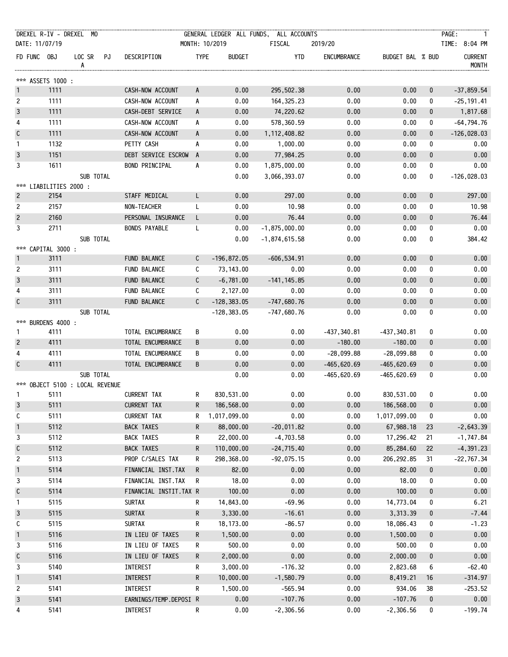| DREXEL R-IV - DREXEL MO         |      |                |                        |              |                | GENERAL LEDGER ALL FUNDS, ALL ACCOUNTS |                |                  |              | PAGE:<br>$\overline{1}$        |
|---------------------------------|------|----------------|------------------------|--------------|----------------|----------------------------------------|----------------|------------------|--------------|--------------------------------|
| DATE: 11/07/19                  |      |                |                        |              | MONTH: 10/2019 | FISCAL                                 | 2019/20        |                  |              | TIME: 8:04 PM                  |
| FD FUNC OBJ                     |      | LOC SR PJ<br>A | DESCRIPTION            | <b>TYPE</b>  | <b>BUDGET</b>  | YTD                                    | ENCUMBRANCE    | BUDGET BAL % BUD |              | <b>CURRENT</b><br><b>MONTH</b> |
| *** ASSETS 1000 :               |      |                |                        |              |                |                                        |                |                  |              |                                |
| $\mathbf{1}$                    | 1111 |                | CASH-NOW ACCOUNT       | $\mathsf{A}$ | 0.00           | 295,502.38                             | 0.00           | 0.00             | $\mathbf 0$  | $-37,859.54$                   |
| $\overline{c}$                  | 1111 |                | CASH-NOW ACCOUNT       | A            | 0.00           | 164, 325. 23                           | 0.00           | 0.00             | 0            | $-25, 191.41$                  |
| $\mathbf{3}$                    | 1111 |                | CASH-DEBT SERVICE      | $\mathsf{A}$ | 0.00           | 74,220.62                              | 0.00           | 0.00             | $\mathbf{0}$ | 1,817.68                       |
| 4                               | 1111 |                | CASH-NOW ACCOUNT       | A            | 0.00           | 578,360.59                             | 0.00           | 0.00             | 0            | $-64,794.76$                   |
| $\mathsf C$                     | 1111 |                | CASH-NOW ACCOUNT       | A            | 0.00           | 1, 112, 408.82                         | 0.00           | 0.00             | $\mathbf 0$  | $-126,028.03$                  |
| $\mathbf{1}$                    | 1132 |                | PETTY CASH             | A            | 0.00           | 1,000.00                               | 0.00           | 0.00             | 0            | 0.00                           |
| $\mathbf{3}$                    | 1151 |                | DEBT SERVICE ESCROW A  |              | 0.00           | 77,984.25                              | 0.00           | 0.00             | $\mathbf 0$  | 0.00                           |
| 3                               | 1611 |                | BOND PRINCIPAL         | A            | 0.00           | 1,875,000.00                           | 0.00           | 0.00             | 0            | 0.00                           |
|                                 |      | SUB TOTAL      |                        |              | 0.00           | 3,066,393.07                           | 0.00           | 0.00             | 0            | $-126,028.03$                  |
| *** LIABILITIES 2000 :          |      |                |                        |              |                |                                        |                |                  |              |                                |
| $\overline{c}$                  | 2154 |                | STAFF MEDICAL          | L.           | 0.00           | 297.00                                 | 0.00           | 0.00             | $\bf{0}$     | 297.00                         |
| $\overline{c}$                  | 2157 |                | NON-TEACHER            | L.           | 0.00           | 10.98                                  | 0.00           | 0.00             | 0            | 10.98                          |
| $\sqrt{2}$                      | 2160 |                | PERSONAL INSURANCE     | L.           | 0.00           | 76.44                                  | 0.00           | 0.00             | $\pmb{0}$    | 76.44                          |
| 3                               | 2711 |                | <b>BONDS PAYABLE</b>   | L            | 0.00           | $-1,875,000.00$                        | 0.00           | 0.00             | 0            | 0.00                           |
| *** CAPITAL 3000 :              |      | SUB TOTAL      |                        |              | 0.00           | $-1,874,615.58$                        | 0.00           | 0.00             | 0            | 384.42                         |
| $\mathbf{1}$                    | 3111 |                | <b>FUND BALANCE</b>    | $\mathsf{C}$ | $-196,872.05$  | $-606,534.91$                          | 0.00           | 0.00             | 0            | 0.00                           |
| $\overline{c}$                  | 3111 |                | FUND BALANCE           | C            | 73,143.00      | 0.00                                   | 0.00           | 0.00             | 0            | 0.00                           |
| $\mathbf{3}$                    | 3111 |                | FUND BALANCE           | $\mathsf{C}$ | $-6,781.00$    | $-141, 145.85$                         | 0.00           | 0.00             | 0            | 0.00                           |
| 4                               | 3111 |                | FUND BALANCE           | $\mathsf{C}$ | 2,127.00       | 0.00                                   | 0.00           | 0.00             | 0            | 0.00                           |
| $\mathfrak c$                   | 3111 |                | FUND BALANCE           | $\mathsf{C}$ | $-128, 383.05$ | $-747,680.76$                          | 0.00           | 0.00             | $\pmb{0}$    | 0.00                           |
| *** BURDENS 4000 :              |      | SUB TOTAL      |                        |              | $-128, 383.05$ | $-747,680.76$                          | 0.00           | 0.00             | 0            | 0.00                           |
| 1                               | 4111 |                | TOTAL ENCUMBRANCE      | В            | 0.00           | 0.00                                   | $-437, 340.81$ | $-437, 340.81$   | 0            | 0.00                           |
| $\overline{2}$                  | 4111 |                | TOTAL ENCUMBRANCE      | B            | 0.00           | 0.00                                   | $-180.00$      | $-180.00$        | 0            | 0.00                           |
| 4                               | 4111 |                | TOTAL ENCUMBRANCE      | B            | 0.00           | 0.00                                   | $-28,099.88$   | $-28,099.88$     | 0            | 0.00                           |
| $\mathsf C$                     | 4111 |                | TOTAL ENCUMBRANCE      | B            | 0.00           | 0.00                                   | $-465,620.69$  | $-465,620.69$    | $\pmb{0}$    | 0.00                           |
| *** OBJECT 5100 : LOCAL REVENUE |      | SUB TOTAL      |                        |              | 0.00           | 0.00                                   | -465,620.69    | $-465,620.69$    | 0            | 0.00                           |
| 1                               | 5111 |                | <b>CURRENT TAX</b>     | $\mathsf{R}$ | 830,531.00     | 0.00                                   | 0.00           | 830,531.00       | 0            | 0.00                           |
| $\mathbf{3}$                    | 5111 |                | <b>CURRENT TAX</b>     | R            | 186,568.00     | 0.00                                   | 0.00           | 186,568.00       | $\pmb{0}$    | 0.00                           |
| С                               | 5111 |                | CURRENT TAX            | R            | 1,017,099.00   | 0.00                                   | 0.00           | 1,017,099.00     | 0            | 0.00                           |
| $\mathbf{1}$                    | 5112 |                | <b>BACK TAXES</b>      | R            | 88,000.00      | $-20,011.82$                           | 0.00           | 67,988.18        | 23           | $-2,643.39$                    |
| 3                               | 5112 |                | <b>BACK TAXES</b>      | R            | 22,000.00      | $-4,703.58$                            | 0.00           | 17,296.42        | 21           | $-1,747.84$                    |
| $\mathsf C$                     | 5112 |                | <b>BACK TAXES</b>      | R            | 110,000.00     | $-24,715.40$                           | 0.00           | 85,284.60        | 22           | $-4, 391.23$                   |
| $\mathbf{2}$                    | 5113 |                | PROP C/SALES TAX       | R            | 298,368.00     | $-92,075.15$                           | 0.00           | 206, 292.85      | 31           | $-22,767.34$                   |
| $\mathbf{1}$                    | 5114 |                | FINANCIAL INST.TAX     | R            | 82.00          | 0.00                                   | 0.00           | 82.00            | $\bf{0}$     | 0.00                           |
| 3                               | 5114 |                | FINANCIAL INST.TAX     | R            | 18.00          | 0.00                                   | 0.00           | 18.00            | 0            | 0.00                           |
| $\mathsf C$                     | 5114 |                | FINANCIAL INSTIT.TAX R |              | 100.00         | 0.00                                   | 0.00           | 100.00           | 0            | 0.00                           |
| 1                               | 5115 |                | <b>SURTAX</b>          | R            | 14,843.00      | $-69.96$                               | 0.00           | 14,773.04        | 0            | 6.21                           |
| $\mathbf{3}$                    | 5115 |                | <b>SURTAX</b>          | R            | 3,330.00       | $-16.61$                               | 0.00           | 3,313.39         | 0            | $-7.44$                        |
| С                               | 5115 |                | <b>SURTAX</b>          | R            | 18,173.00      | $-86.57$                               | 0.00           | 18,086.43        | 0            | $-1.23$                        |
| $\mathbf{1}$                    | 5116 |                | IN LIEU OF TAXES       | R            | 1,500.00       | 0.00                                   | 0.00           | 1,500.00         | 0            | 0.00                           |
| 3                               | 5116 |                | IN LIEU OF TAXES       | R            | 500.00         | 0.00                                   | 0.00           | 500.00           | 0            | 0.00                           |
| $\mathsf{C}$                    | 5116 |                | IN LIEU OF TAXES       | R            | 2,000.00       | 0.00                                   | 0.00           | 2,000.00         | 0            | 0.00                           |
| 3                               | 5140 |                | INTEREST               | R            | 3,000.00       | $-176.32$                              | 0.00           | 2,823.68         | 6            | $-62.40$                       |
| $\mathbf{1}$                    | 5141 |                | <b>INTEREST</b>        | R            | 10,000.00      | $-1,580.79$                            | 0.00           | 8,419.21         | 16           | $-314.97$                      |
| $\overline{c}$                  | 5141 |                | INTEREST               | R            | 1,500.00       | $-565.94$                              | 0.00           | 934.06           | 38           | $-253.52$                      |
| 3                               | 5141 |                | EARNINGS/TEMP.DEPOSI R |              | 0.00           | $-107.76$                              | 0.00           | $-107.76$        | $\pmb{0}$    | 0.00                           |
| 4                               | 5141 |                | <b>INTEREST</b>        | R            | 0.00           | $-2,306.56$                            | 0.00           | $-2,306.56$      | 0            | $-199.74$                      |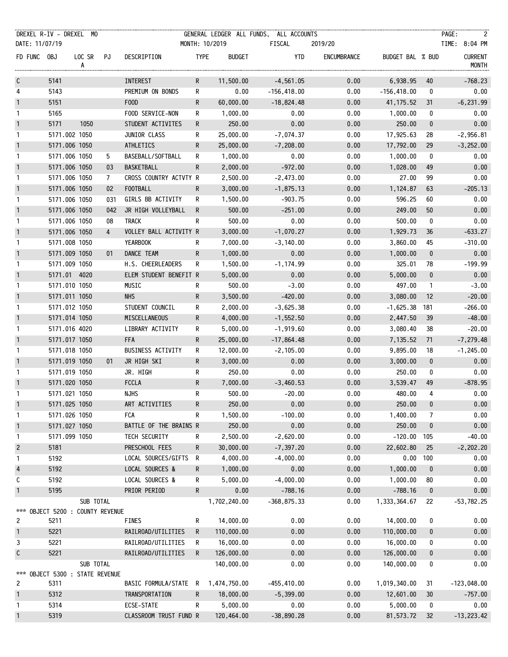| DREXEL R-IV - DREXEL MO        |                                |                              |                |                                 |              |                        | GENERAL LEDGER ALL FUNDS, ALL ACCOUNTS |              |                      |                        | PAGE:                      |
|--------------------------------|--------------------------------|------------------------------|----------------|---------------------------------|--------------|------------------------|----------------------------------------|--------------|----------------------|------------------------|----------------------------|
| DATE: 11/07/19                 |                                |                              |                |                                 |              | MONTH: 10/2019         | FISCAL                                 | 2019/20      |                      |                        | TIME: 8:04 PM              |
| FD FUNC OBJ                    |                                | LOC SR PJ<br>A               |                | DESCRIPTION                     | <b>TYPE</b>  | <b>BUDGET</b>          | YTD                                    | ENCUMBRANCE  | BUDGET BAL % BUD     |                        | <b>CURRENT</b><br>MONTH    |
| $\mathsf{C}$                   | 5141                           |                              |                | <b>INTEREST</b>                 | $\mathsf{R}$ | 11,500.00              | $-4,561.05$                            | 0.00         | 6,938.95             | 40                     | $-768.23$                  |
| 4                              | 5143                           |                              |                | PREMIUM ON BONDS                | R            | 0.00                   | $-156,418.00$                          | 0.00         | $-156,418.00$        | 0                      | 0.00                       |
| $\mathbf{1}$                   | 5151                           |                              |                | F00D                            | R.           | 60,000.00              | $-18,824.48$                           | 0.00         | 41, 175.52           | 31                     | $-6, 231.99$               |
| $\mathbf{1}$                   | 5165                           |                              |                | FOOD SERVICE-NON                | R.           | 1,000.00               | 0.00                                   | 0.00         | 1,000.00             | 0                      | 0.00                       |
| $\mathbf{1}$                   | 5171                           | 1050                         |                | STUDENT ACTIVITES               | R.           | 250.00                 | 0.00                                   | 0.00         | 250.00               | $\mathbf{0}$           | 0.00                       |
| $\mathbf{1}$                   | 5171.002 1050                  |                              |                | JUNIOR CLASS                    | R.           | 25,000.00              | $-7,074.37$                            | 0.00         | 17,925.63            | 28                     | $-2,956.81$                |
| $\mathbf{1}$                   | 5171.006 1050                  |                              |                | ATHLETICS                       | $\mathsf{R}$ | 25,000.00              | $-7,208.00$                            | 0.00         | 17,792.00            | 29                     | $-3,252.00$                |
| $\mathbf{1}$                   | 5171.006 1050                  |                              | 5              | BASEBALL/SOFTBALL               | R            | 1,000.00               | 0.00                                   | 0.00         | 1,000.00             | 0                      | 0.00                       |
| $\mathbf{1}$                   | 5171.006 1050                  |                              | 03             | BASKETBALL                      | R.           | 2,000.00               | $-972.00$                              | 0.00         | 1,028.00             | 49                     | 0.00                       |
| $\mathbf{1}$                   | 5171.006 1050                  |                              | $\mathcal{I}$  | CROSS COUNTRY ACTVTY R          |              | 2,500.00               | $-2,473.00$                            | 0.00         | 27.00                | 99                     | 0.00                       |
| $\mathbf{1}$                   | 5171.006 1050                  |                              | 02             | <b>FOOTBALL</b>                 | R.           | 3,000.00               | $-1,875.13$                            | 0.00         | 1,124.87             | 63                     | $-205.13$                  |
| $\mathbf{1}$                   | 5171.006 1050                  |                              | 031            | GIRLS BB ACTIVITY               | R            | 1,500.00               | $-903.75$                              | 0.00         | 596.25               | 60                     | 0.00                       |
| $\mathbf{1}$                   | 5171.006 1050                  |                              | 042            | JR HIGH VOLLEYBALL              | R            | 500.00                 | $-251.00$                              | 0.00         | 249.00               | 50                     | 0.00                       |
| $\mathbf{1}$                   | 5171.006 1050                  |                              | 08             | TRACK                           | R.           | 500.00                 | 0.00                                   | 0.00         | 500.00               | 0                      | 0.00                       |
| $\mathbf{1}$                   | 5171.006 1050                  |                              | $\overline{4}$ | VOLLEY BALL ACTIVITY R          |              | 3,000.00               | $-1,070.27$                            | 0.00         | 1,929.73             | 36                     | $-633.27$                  |
| $\mathbf{1}$                   | 5171.008 1050                  |                              |                | YEARBOOK                        | R            | 7,000.00               | $-3,140.00$                            | 0.00         | 3,860.00             | 45                     | $-310.00$                  |
| $\mathbf{1}$                   | 5171.009 1050                  |                              | 01             | DANCE TEAM                      | R.           | 1,000.00               | 0.00                                   | 0.00         | 1,000.00             | $\bf{0}$               | 0.00                       |
| $\mathbf{1}$                   | 5171.009 1050                  |                              |                | H.S. CHEERLEADERS               | R.           | 1,500.00               | $-1, 174.99$                           | 0.00         | 325.01               | 78                     | $-199.99$                  |
| $\mathbf{1}$                   | 5171.01 4020                   |                              |                | ELEM STUDENT BENEFIT R          |              | 5,000.00               | 0.00                                   | 0.00         | 5,000.00             | $\mathbf{0}$           | 0.00                       |
| $\mathbf{1}$                   | 5171.010 1050                  |                              |                | MUSIC                           | R.           | 500.00                 | $-3.00$                                | 0.00         | 497.00               | $\mathbf{1}$           | $-3.00$                    |
| $\mathbf{1}$                   | 5171.011 1050                  |                              |                | <b>NHS</b>                      | R.           | 3,500.00               | $-420.00$                              | 0.00         | 3,080.00             | 12                     | $-20.00$                   |
| $\mathbf{1}$                   | 5171.012 1050                  |                              |                | STUDENT COUNCIL                 | R            | 2,000.00               | $-3,625.38$                            | 0.00         | $-1,625.38$          | 181                    | $-266.00$                  |
| $\mathbf{1}$                   |                                | 5171.014 1050                |                | MISCELLANEOUS                   | R.           | 4,000.00               | $-1,552.50$                            | 0.00         | 2,447.50             | 39                     | $-48.00$                   |
| $\mathbf{1}$                   | 5171.016 4020                  |                              |                | LIBRARY ACTIVITY                | R            | 5,000.00               | $-1,919.60$                            | 0.00         | 3,080.40             | 38                     | $-20.00$                   |
| $\mathbf{1}$                   | 5171.017 1050                  |                              |                | <b>FFA</b>                      | $\mathsf{R}$ |                        |                                        | 0.00         |                      |                        |                            |
| $\mathbf{1}$                   | 5171.018 1050                  |                              |                | <b>BUSINESS ACTIVITY</b>        | R            | 25,000.00<br>12,000.00 | $-17,864.48$<br>$-2,105.00$            | 0.00         | 7,135.52<br>9,895.00 | 71<br>18               | $-7,279.48$<br>$-1,245.00$ |
| $\mathbf{1}$                   | 5171.019 1050                  |                              | 01             | JR HIGH SKI                     | R.           | 3,000.00               | 0.00                                   | 0.00         | 3,000.00             | $\mathbf 0$            | 0.00                       |
| $\mathbf{1}$                   | 5171.019 1050                  |                              |                | JR. HIGH                        |              | 250.00                 | 0.00                                   | 0.00         | 250.00               | 0                      | 0.00                       |
| $\mathbf{1}$                   | 5171.020 1050                  |                              |                | <b>FCCLA</b>                    | R.<br>R.     | 7,000.00               | $-3,460.53$                            | 0.00         | 3,539.47             | 49                     | $-878.95$                  |
| $\mathbf{1}$                   | 5171.021 1050                  |                              |                | <b>NJHS</b>                     | R.           | 500.00                 | $-20.00$                               | 0.00         | 480.00               | 4                      | 0.00                       |
|                                |                                |                              |                |                                 |              | 250.00                 | 0.00                                   | 0.00         | 250.00               | $\pmb{0}$              | 0.00                       |
| $\mathbf{1}$<br>$\mathbf{1}$   | 5171.025 1050<br>5171.026 1050 |                              |                | ART ACTIVITIES<br><b>FCA</b>    | R<br>R       | 1,500.00               | $-100.00$                              | 0.00         | 1,400.00             | 7                      | 0.00                       |
| $\mathbf 1$                    |                                | 5171.027 1050                |                | BATTLE OF THE BRAINS R          |              | 250.00                 | 0.00                                   | 0.00         | 250.00               |                        | 0.00                       |
|                                |                                |                              |                |                                 |              |                        | $-2,620.00$                            |              | $-120.00$            | 0                      | $-40.00$                   |
| $\mathbf{1}$                   | 5171.099 1050                  |                              |                | TECH SECURITY<br>PRESCHOOL FEES | R<br>R       | 2,500.00<br>30,000.00  | $-7, 397.20$                           | 0.00<br>0.00 | 22,602.80            | 105<br>25              | $-2, 202.20$               |
| $\overline{c}$<br>$\mathbf{1}$ | 5181<br>5192                   |                              |                | LOCAL SOURCES/GIFTS             | R            | 4,000.00               | $-4,000.00$                            | 0.00         | 0.00                 | 100                    | 0.00                       |
| $\overline{4}$                 | 5192                           |                              |                | LOCAL SOURCES &                 | R            |                        | 0.00                                   | 0.00         | 1,000.00             |                        | 0.00                       |
| С                              | 5192                           |                              |                | LOCAL SOURCES &                 | R            | 1,000.00<br>5,000.00   | $-4,000.00$                            | 0.00         | 1,000.00             | $\boldsymbol{0}$<br>80 | 0.00                       |
|                                | 5195                           |                              |                | PRIOR PERIOD                    | $\mathsf{R}$ |                        | $-788.16$                              | 0.00         |                      |                        | 0.00                       |
| $\mathbf{1}$                   |                                | SUB TOTAL                    |                |                                 |              | 0.00<br>1,702,240.00   | $-368,875.33$                          | 0.00         | $-788.16$            | $\boldsymbol{0}$<br>22 | $-53,782.25$               |
| ***                            |                                | OBJECT 5200 : COUNTY REVENUE |                |                                 |              |                        |                                        |              | 1,333,364.67         |                        |                            |
| $\overline{c}$                 | 5211                           |                              |                | <b>FINES</b>                    | R            | 14,000.00              | 0.00                                   | 0.00         | 14,000.00            | 0                      | 0.00                       |
| $\mathbf{1}$                   | 5221                           |                              |                | RAILROAD/UTILITIES              | R.           | 110,000.00             | 0.00                                   | 0.00         | 110,000.00           | 0                      | 0.00                       |
| 3                              | 5221                           |                              |                | RAILROAD/UTILITIES              | R            | 16,000.00              | 0.00                                   | 0.00         | 16,000.00            | 0                      | 0.00                       |
| $\mathsf C$                    | 5221                           |                              |                | RAILROAD/UTILITIES              | R            | 126,000.00             | 0.00                                   | 0.00         | 126,000.00           | 0                      | 0.00                       |
|                                |                                | SUB TOTAL                    |                |                                 |              | 140,000.00             | 0.00                                   | 0.00         | 140,000.00           | 0                      | 0.00                       |
| ***                            |                                | OBJECT 5300 : STATE REVENUE  |                |                                 |              |                        |                                        |              |                      |                        |                            |
| $\overline{c}$                 | 5311                           |                              |                | BASIC FORMULA/STATE             | R            | 1,474,750.00           | $-455, 410.00$                         | 0.00         | 1,019,340.00         | 31                     | $-123,048.00$              |
| $\mathbf{1}$                   | 5312                           |                              |                | TRANSPORTATION                  | R            | 18,000.00              | $-5,399.00$                            | 0.00         | 12,601.00            | 30                     | $-757.00$                  |
| $\mathbf{1}$                   | 5314                           |                              |                | ECSE-STATE                      | R            | 5,000.00               | 0.00                                   | 0.00         | 5,000.00             | 0                      | 0.00                       |
| $\overline{1}$                 | 5319                           |                              |                | CLASSROOM TRUST FUND R          |              | 120,464.00             | $-38,890.28$                           | 0.00         | 81,573.72            | 32                     | $-13,223.42$               |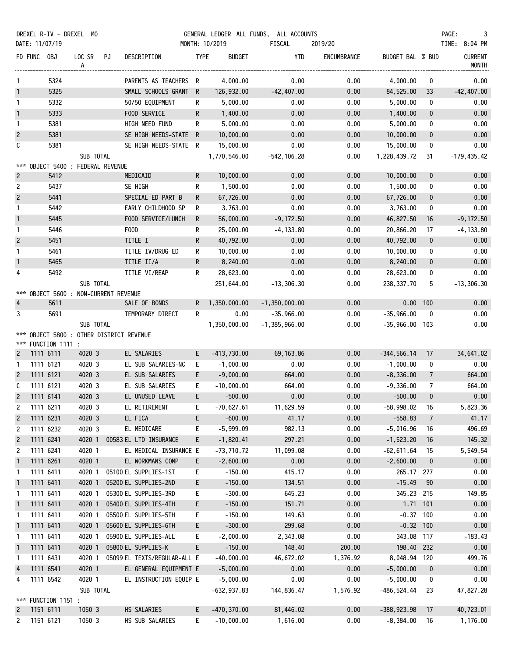|                | DREXEL R-IV - DREXEL MO |                                                    |                              |              |                | GENERAL LEDGER ALL FUNDS, ALL ACCOUNTS |             |                  |                  | PAGE:                   |
|----------------|-------------------------|----------------------------------------------------|------------------------------|--------------|----------------|----------------------------------------|-------------|------------------|------------------|-------------------------|
| DATE: 11/07/19 |                         |                                                    |                              |              | MONTH: 10/2019 | FISCAL                                 | 2019/20     |                  |                  | TIME: 8:04 PM           |
| FD FUNC OBJ    |                         | LOC SR PJ<br>A                                     | DESCRIPTION                  | <b>TYPE</b>  | <b>BUDGET</b>  | YTD                                    | ENCUMBRANCE | BUDGET BAL % BUD |                  | <b>CURRENT</b><br>MONTH |
| $\mathbf{1}$   | 5324                    |                                                    | PARENTS AS TEACHERS R        |              | 4,000.00       | 0.00                                   | 0.00        | 4,000.00         | 0                | 0.00                    |
| $\mathbf{1}$   | 5325                    |                                                    | SMALL SCHOOLS GRANT R        |              | 126,932.00     | $-42,407.00$                           | 0.00        | 84,525.00        | 33               | $-42,407.00$            |
| $\mathbf{1}$   | 5332                    |                                                    | 50/50 EQUIPMENT              | R            | 5,000.00       | 0.00                                   | 0.00        | 5,000.00         | 0                | 0.00                    |
| $\mathbf{1}$   | 5333                    |                                                    | FOOD SERVICE                 | $\mathsf{R}$ | 1,400.00       | 0.00                                   | 0.00        | 1,400.00         | $\mathbf 0$      | 0.00                    |
| $\mathbf{1}$   | 5381                    |                                                    | HIGH NEED FUND               | $\mathsf{R}$ | 5,000.00       | 0.00                                   | 0.00        | 5,000.00         | 0                | 0.00                    |
| $\overline{c}$ | 5381                    |                                                    | SE HIGH NEEDS-STATE R        |              | 10,000.00      | 0.00                                   | 0.00        | 10,000.00        | $\mathbf 0$      | 0.00                    |
| C              | 5381                    |                                                    | SE HIGH NEEDS-STATE R        |              | 15,000.00      | 0.00                                   | 0.00        | 15,000.00        | 0                | 0.00                    |
|                |                         | SUB TOTAL                                          |                              |              | 1,770,546.00   | $-542, 106.28$                         | 0.00        | 1,228,439.72     | 31               | $-179,435.42$           |
|                |                         | *** OBJECT 5400 : FEDERAL REVENUE                  |                              |              |                |                                        |             |                  |                  |                         |
| $\overline{2}$ | 5412                    |                                                    | MEDICAID                     | $\mathsf{R}$ | 10,000.00      | 0.00                                   | 0.00        | 10,000.00        | $\mathbf 0$      | 0.00                    |
| $\overline{c}$ | 5437                    |                                                    | SE HIGH                      | R.           | 1,500.00       | 0.00                                   | 0.00        | 1,500.00         | 0                | 0.00                    |
| $\overline{2}$ | 5441                    |                                                    | SPECIAL ED PART B            | $\mathsf{R}$ | 67,726.00      | 0.00                                   | 0.00        | 67,726.00        | $\boldsymbol{0}$ | 0.00                    |
| $\mathbf{1}$   | 5442                    |                                                    | EARLY CHILDHOOD SP           | R            | 3,763.00       | 0.00                                   | 0.00        | 3,763.00         | 0                | 0.00                    |
| $\mathbf{1}$   | 5445                    |                                                    | FOOD SERVICE/LUNCH           | $\mathsf{R}$ | 56,000.00      | $-9,172.50$                            | 0.00        | 46,827.50        | 16               | $-9,172.50$             |
| $\mathbf{1}$   | 5446                    |                                                    | F00D                         | R            | 25,000.00      | $-4, 133.80$                           | 0.00        | 20,866.20        | 17               | $-4, 133.80$            |
| $\overline{c}$ | 5451                    |                                                    | TITLE I                      | $\mathsf{R}$ | 40,792.00      | 0.00                                   | 0.00        | 40,792.00        | $\bf{0}$         | 0.00                    |
| $\mathbf{1}$   | 5461                    |                                                    | TITLE IV/DRUG ED             | R            | 10,000.00      | 0.00                                   | 0.00        | 10,000.00        | 0                | 0.00                    |
| $\overline{1}$ | 5465                    |                                                    | TITLE II/A                   | $\mathsf{R}$ | 8,240.00       | 0.00                                   | 0.00        | 8,240.00         | $\bf{0}$         | 0.00                    |
| 4              | 5492                    |                                                    | TITLE VI/REAP                | R.           | 28,623.00      | 0.00                                   | 0.00        | 28,623.00        | 0                | 0.00                    |
|                |                         | SUB TOTAL<br>*** OBJECT 5600 : NON-CURRENT REVENUE |                              |              | 251,644.00     | $-13,306.30$                           | 0.00        | 238,337.70       | 5                | $-13,306.30$            |
| $\overline{4}$ | 5611                    |                                                    | SALE OF BONDS                |              | R 1,350,000.00 | $-1, 350, 000.00$                      | 0.00        | $0.00$ 100       |                  | 0.00                    |
| 3              | 5691                    |                                                    | TEMPORARY DIRECT             | R            | 0.00           | $-35,966.00$                           | 0.00        | $-35,966.00$     | $\mathbf 0$      | 0.00                    |
|                |                         | SUB TOTAL                                          |                              |              | 1,350,000.00   | $-1, 385, 966.00$                      | 0.00        | $-35,966.00$ 103 |                  | 0.00                    |
| ***            | *** FUNCTION 1111 :     | OBJECT 5800 : OTHER DISTRICT REVENUE               |                              |              |                |                                        |             |                  |                  |                         |
| $\overline{c}$ | 1111 6111               | 4020 3                                             | EL SALARIES                  | E.           | $-413,730.00$  | 69, 163.86                             | 0.00        | $-344,566.14$    | 17               | 34,641.02               |
| $\mathbf{1}$   | 1111 6121               | 4020 3                                             | EL SUB SALARIES-NC           | E.           | $-1,000.00$    | 0.00                                   | 0.00        | $-1,000.00$      | 0                | 0.00                    |
| $\overline{c}$ | 1111 6121               | 4020 3                                             | EL SUB SALARIES              | E.           | $-9,000.00$    | 664.00                                 | 0.00        | $-8,336.00$      | $\overline{7}$   | 664.00                  |
| C              | 1111 6121               | 4020 3                                             | EL SUB SALARIES              | E.           | $-10,000.00$   | 664.00                                 | 0.00        | $-9,336.00$      | $\overline{7}$   | 664.00                  |
| $\overline{2}$ | 1111 6141               | 4020 3                                             | EL UNUSED LEAVE              | E            | $-500.00$      | 0.00                                   | 0.00        | $-500.00$        | $\mathbf{0}$     | 0.00                    |
| 2              | 1111 6211               | 4020 3                                             | EL RETIREMENT                | E            | $-70,627.61$   | 11,629.59                              | 0.00        | $-58,998.02$     | 16               | 5,823.36                |
| $\overline{c}$ | 1111 6231               | 4020 3                                             | EL FICA                      | E            | $-600.00$      | 41.17                                  | 0.00        | $-558.83$        | $\overline{7}$   | 41.17                   |
| 2              | 1111 6232               | 4020 3                                             | EL MEDICARE                  | E            | $-5,999.09$    | 982.13                                 | 0.00        | $-5,016.96$      | 16               | 496.69                  |
| $\overline{c}$ | 1111 6241               | 4020 1                                             | 00583 EL LTD INSURANCE       | E.           | $-1,820.41$    | 297.21                                 | 0.00        | $-1,523.20$      | 16               | 145.32                  |
| $\overline{c}$ | 1111 6241               | 4020 1                                             | EL MEDICAL INSURANCE E       |              | $-73,710.72$   | 11,099.08                              | 0.00        | $-62,611.64$     | 15               | 5,549.54                |
| $\mathbf{1}$   | 1111 6261               | 4020 1                                             | EL WORKMANS COMP             | E            | $-2,600.00$    | 0.00                                   | 0.00        | $-2,600.00$      | $\boldsymbol{0}$ | 0.00                    |
| $\mathbf{1}$   | 1111 6411               | 4020 1                                             | 05100 EL SUPPLIES-1ST        | E.           | $-150.00$      | 415.17                                 | 0.00        | 265.17 277       |                  | 0.00                    |
| $\mathbf{1}$   | 1111 6411               | 4020 1                                             | 05200 EL SUPPLIES-2ND        | E            | $-150.00$      | 134.51                                 | 0.00        | $-15.49$         | 90               | 0.00                    |
| $\mathbf{1}$   | 1111 6411               | 4020 1                                             | 05300 EL SUPPLIES-3RD        | E            | $-300.00$      | 645.23                                 | 0.00        | 345.23           | 215              | 149.85                  |
| $\mathbf{1}$   | 1111 6411               | 4020 1                                             | 05400 EL SUPPLIES-4TH        | E            | $-150.00$      | 151.71                                 | 0.00        | 1.71 101         |                  | 0.00                    |
| $\mathbf{1}$   | 1111 6411               | 4020 1                                             | 05500 EL SUPPLIES-5TH        | E            | $-150.00$      | 149.63                                 | 0.00        | $-0.37$ 100      |                  | 0.00                    |
| $\mathbf{1}$   | 1111 6411               | 4020 1                                             | 05600 EL SUPPLIES-6TH        | E.           | $-300.00$      | 299.68                                 | 0.00        | $-0.32$ 100      |                  | 0.00                    |
| $\mathbf{1}$   | 1111 6411               | 4020 1                                             | 05900 EL SUPPLIES-ALL        | E            | $-2,000.00$    | 2,343.08                               | 0.00        | 343.08 117       |                  | $-183.43$               |
| $\mathbf{1}$   | 1111 6411               | 4020 1                                             | 05800 EL SUPPLIES-K          | E.           | $-150.00$      | 148.40                                 | 200.00      | 198.40 232       |                  | 0.00                    |
| $\mathbf{1}$   | 1111 6431               | 4020 1                                             | 05099 EL TEXTS/REGULAR-ALL E |              | $-40,000.00$   | 46,672.02                              | 1,376.92    | 8,048.94 120     |                  | 499.76                  |
| $\overline{4}$ | 1111 6541               | 4020 1                                             | EL GENERAL EQUIPMENT E       |              | $-5,000.00$    | 0.00                                   | 0.00        | $-5,000.00$      | $\boldsymbol{0}$ | 0.00                    |
| 4              | 1111 6542               | 4020 1                                             | EL INSTRUCTION EQUIP E       |              | $-5,000.00$    | 0.00                                   | 0.00        | $-5,000.00$      | 0                | 0.00                    |
|                |                         | SUB TOTAL                                          |                              |              | $-632, 937.83$ | 144,836.47                             | 1,576.92    | $-486,524.44$    | 23               | 47,827.28               |
| ***            | FUNCTION 1151 :         |                                                    |                              |              |                |                                        |             |                  |                  |                         |
| $\overline{c}$ | 1151 6111               | 1050 3                                             | HS SALARIES                  | E.           | $-470, 370.00$ | 81,446.02                              | 0.00        | $-388,923.98$    | 17               | 40,723.01               |
| 2              | 1151 6121               | 1050 3                                             | HS SUB SALARIES              | E.           | $-10,000.00$   | 1,616.00                               | 0.00        | $-8,384.00$      | 16               | 1,176.00                |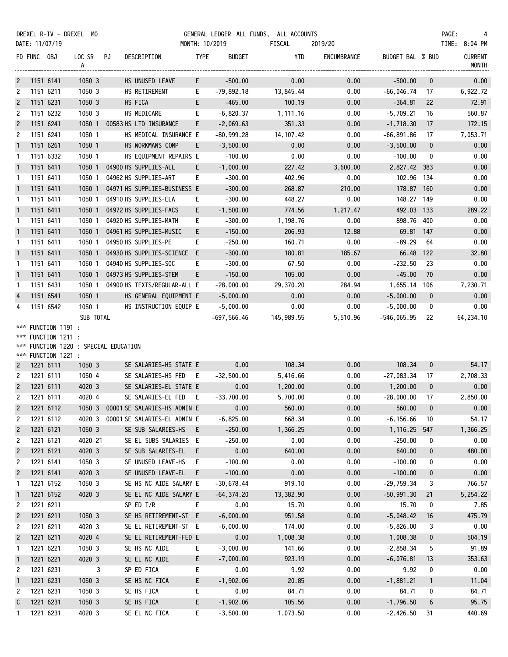|                      |             |                                            | DREXEL R-IV - DREXEL MO               |                                |                |               | GENERAL LEDGER ALL FUNDS, ALL ACCOUNTS |             |                  |              | PAGE:<br>$\overline{4}$        |
|----------------------|-------------|--------------------------------------------|---------------------------------------|--------------------------------|----------------|---------------|----------------------------------------|-------------|------------------|--------------|--------------------------------|
|                      |             | DATE: 11/07/19                             |                                       |                                | MONTH: 10/2019 |               | FISCAL                                 | 2019/20     |                  |              | TIME: 8:04 PM                  |
|                      | FD FUNC OBJ |                                            | LOC SR PJ<br>A                        | DESCRIPTION                    | <b>TYPE</b>    | <b>BUDGET</b> | YTD                                    | ENCUMBRANCE | BUDGET BAL % BUD |              | <b>CURRENT</b><br><b>MONTH</b> |
| $\overline{2}$       |             | 1151 6141                                  | 1050 3                                | HS UNUSED LEAVE                | E.             | $-500.00$     | 0.00                                   | 0.00        | $-500.00$        | $\mathbf 0$  | 0.00                           |
| 2                    |             | 1151 6211                                  | 1050 3                                | HS RETIREMENT                  | E.             | $-79,892.18$  | 13,845.44                              | 0.00        | $-66,046.74$     | 17           | 6,922.72                       |
| $\overline{c}$       |             | 1151 6231                                  | 1050 3                                | HS FICA                        | E              | $-465.00$     | 100.19                                 | 0.00        | $-364.81$        | 22           | 72.91                          |
| 2                    |             | 1151 6232                                  | 1050 3                                | HS MEDICARE                    | E.             | $-6,820.37$   | 1,111.16                               | 0.00        | $-5,709.21$      | 16           | 560.87                         |
| $\overline{c}$       |             | 1151 6241                                  |                                       | 1050 1 00583 HS LTD INSURANCE  | E              | $-2,069.63$   | 351.33                                 | 0.00        | $-1,718.30$      | 17           | 172.15                         |
| 2                    |             | 1151 6241                                  | 1050 1                                | HS MEDICAL INSURANCE E         |                | $-80,999.28$  | 14,107.42                              | 0.00        | -66,891.86       | 17           | 7,053.71                       |
| $\mathbf{1}$         |             | 1151 6261                                  | 1050 1                                | HS WORKMANS COMP               | E.             | $-3,500.00$   | 0.00                                   | 0.00        | $-3,500.00$      | $\mathbf 0$  | 0.00                           |
| $\mathbf{1}$         |             | 1151 6332                                  | 1050 1                                | HS EQUIPMENT REPAIRS E         |                | $-100.00$     | 0.00                                   | 0.00        | $-100.00$        | 0            | 0.00                           |
| $\mathbf{1}$         |             | 1151 6411                                  |                                       | 1050 1 04900 HS SUPPLIES-ALL   | E.             | $-1,000.00$   | 227.42                                 | 3,600.00    | 2,827.42 383     |              | 0.00                           |
| $\mathbf{1}$         |             | 1151 6411                                  | 1050 1                                | 04962 HS SUPPLIES-ART          | E.             | $-300.00$     | 402.96                                 | 0.00        | 102.96 134       |              | 0.00                           |
| $\overline{1}$       |             | 1151 6411                                  | 1050 1                                | 04971 HS SUPPLIES-BUSINESS E   |                | $-300.00$     | 268.87                                 | 210.00      | 178.87 160       |              | 0.00                           |
| $\mathbf{1}$         |             | 1151 6411                                  | 1050 1                                | 04910 HS SUPPLIES-ELA          | E.             | $-300.00$     | 448.27                                 | 0.00        | 148.27 149       |              | 0.00                           |
| $\mathbf{1}$         |             | 1151 6411                                  | 1050 1                                | 04972 HS SUPPLIES-FACS         | E              | $-1,500.00$   | 774.56                                 | 1,217.47    | 492.03 133       |              | 289.22                         |
| 1                    |             | 1151 6411                                  | 1050 1                                | 04920 HS SUPPLIES-MATH         | E.             | $-300.00$     | 1,198.76                               | 0.00        | 898.76           | 400          | 0.00                           |
| $\mathbf{1}$         |             | 1151 6411                                  |                                       | 1050 1 04961 HS SUPPLIES-MUSIC | E.             | $-150.00$     | 206.93                                 | 12.88       | 69.81 147        |              | 0.00                           |
| $\mathbf{1}$         |             | 1151 6411                                  | 1050 1                                | 04950 HS SUPPLIES-PE           | E.             | $-250.00$     | 160.71                                 | 0.00        | $-89.29$         | 64           | 0.00                           |
| $\overline{1}$       |             | 1151 6411                                  | 1050 1                                | 04930 HS SUPPLIES-SCIENCE E    |                | $-300.00$     | 180.81                                 | 185.67      | 66.48            | 122          | 32.80                          |
| $\mathbf{1}$         |             | 1151 6411                                  | 1050 1                                | 04940 HS SUPPLIES-SOC          | E.             | $-300.00$     | 67.50                                  | 0.00        | $-232.50$        | 23           | 0.00                           |
| $\mathbf{1}$         |             | 1151 6411                                  | 1050 1                                | 04973 HS SUPPLIES-STEM         | E.             | $-150.00$     | 105.00                                 | 0.00        | $-45.00$         | 70           | 0.00                           |
| $\mathbf{1}$         |             | 1151 6431                                  | 1050 1                                | 04900 HS TEXTS/REGULAR-ALL E   |                | $-28,000.00$  | 29,370.20                              | 284.94      | 1,655.14 106     |              | 7,230.71                       |
| $\overline{4}$       |             | 1151 6541                                  | 1050 1                                | HS GENERAL EQUIPMENT E         |                | $-5,000.00$   | 0.00                                   | 0.00        | $-5,000.00$      | $\mathbf{0}$ | 0.00                           |
| 4                    |             | 1151 6542                                  | 1050 1                                | HS INSTRUCTION EQUIP E         |                | $-5,000.00$   | 0.00                                   | 0.00        | $-5,000.00$      | 0            | 0.00                           |
|                      |             |                                            | SUB TOTAL                             |                                |                | $-697,566.46$ | 145,989.55                             | 5,510.96    | -546,065.95      | 22           | 64, 234.10                     |
|                      |             | *** FUNCTION 1191 :<br>*** FUNCTION 1211 : |                                       |                                |                |               |                                        |             |                  |              |                                |
|                      |             |                                            | *** FUNCTION 1220 : SPECIAL EDUCATION |                                |                |               |                                        |             |                  |              |                                |
|                      |             | *** FUNCTION 1221 :                        |                                       |                                |                |               |                                        |             |                  |              |                                |
| $\overline{2}$       |             | 1221 6111                                  | 1050 3                                | SE SALARIES-HS STATE E         |                | 0.00          | 108.34                                 | 0.00        | 108.34           | $\mathbf 0$  | 54.17                          |
| 2                    |             | 1221 6111                                  | 1050 4                                | SE SALARIES-HS FED E           |                | $-32,500.00$  | 5,416.66                               | 0.00        | $-27,083.34$     | 17           | 2,708.33                       |
| $\overline{c}$       |             | 1221 6111                                  | 4020 3                                | SE SALARIES-EL STATE E         |                | 0.00          | 1,200.00                               | 0.00        | 1,200.00         | $\mathbf{0}$ | 0.00                           |
| $\mathbf{2}^{\circ}$ |             | 1221 6111                                  | 4020 4                                | SE SALARIES-EL FED E           |                | $-33,700.00$  | 5,700.00                               | 0.00        | $-28.000.00$     | 17           | 2,850.00                       |
| $\overline{c}$       |             | 1221 6112                                  | 10503                                 | 00001 SE SALARIES-HS ADMIN E   |                | 0.00          | 560.00                                 | 0.00        | 560.00           | $\bf{0}$     | 0.00                           |
| 2                    |             | 1221 6112                                  | 4020 3                                | 00001 SE SALARIES-EL ADMIN E   |                | $-6,825.00$   | 668.34                                 | 0.00        | $-6, 156.66$     | 10           | 54.17                          |
| $\overline{c}$       |             | 1221 6121                                  | 1050 3                                | SE SUB SALARIES-HS E           |                | $-250.00$     | 1,366.25                               | 0.00        | 1,116.25         | 547          | 1,366.25                       |
| $\overline{c}$       |             | 1221 6121                                  | 4020 21                               | SE EL SUBS SALARIES E          |                | $-250.00$     | 0.00                                   | 0.00        | $-250.00$        | 0            | 0.00                           |
| $\overline{c}$       |             | 1221 6121                                  | 4020 3                                | SE SUB SALARIES-EL             | - E            | 0.00          | 640.00                                 | 0.00        | 640.00           | 0            | 480.00                         |
| 2                    |             | 1221 6141                                  | 1050 3                                | SE UNUSED LEAVE-HS             | E              | $-100.00$     | 0.00                                   | 0.00        | $-100.00$        | 0            | 0.00                           |
| $\overline{c}$       |             | 1221 6141                                  | 4020 3                                | SE UNUSED LEAVE-EL E           |                | $-100.00$     | 0.00                                   | 0.00        | $-100.00$        | 0            | 0.00                           |
| 1                    |             | 1221 6152                                  | 1050 3                                | SE HS NC AIDE SALARY E         |                | $-30,678.44$  | 919.10                                 | 0.00        | $-29,759.34$     | 3            | 766.57                         |
| $\mathbf{1}$         |             | 1221 6152                                  | 4020 3                                | SE EL NC AIDE SALARY E         |                | $-64, 374.20$ | 13,382.90                              | 0.00        | $-50,991.30$     | 21           | 5,254.22                       |
| 2                    |             | 1221 6211                                  |                                       | SP ED T/R                      | E.             | 0.00          | 15.70                                  | 0.00        | 15.70            | 0            | 7.85                           |
| $\overline{c}$       |             | 1221 6211                                  | 1050 3                                | SE HS RETIREMENT-ST E          |                | $-6,000.00$   | 951.58                                 | 0.00        | $-5,048.42$      | 16           | 475.79                         |
| 2                    |             | 1221 6211                                  | 4020 3                                | SE EL RETIREMENT-ST E          |                | $-6,000.00$   | 174.00                                 | 0.00        | $-5,826.00$      | 3            | 0.00                           |
| $\overline{c}$       |             | 1221 6211                                  | 4020 4                                | SE EL RETIREMENT-FED E         |                | 0.00          | 1,008.38                               | 0.00        | 1,008.38         | 0            | 504.19                         |
| 1                    |             | 1221 6221                                  | 1050 3                                | SE HS NC AIDE                  | E.             | $-3,000.00$   | 141.66                                 | 0.00        | $-2,858.34$      | 5            | 91.89                          |
| $\mathbf{1}$         |             | 1221 6221                                  | 4020 3                                | SE EL NC AIDE                  | E              | $-7,000.00$   | 923.19                                 | 0.00        | $-6,076.81$      | 13           | 353.63                         |
| 2                    |             | 1221 6231                                  | 3                                     | SP ED FICA                     | E              | 0.00          | 9.92                                   | 0.00        | 9.92             | 0            | 0.00                           |
| $\mathbf{1}$         |             | 1221 6231                                  | 1050 3                                | SE HS NC FICA                  | E.             | $-1,902.06$   | 20.85                                  | 0.00        | $-1,881.21$      | $\mathbf{1}$ | 11.04                          |
| 2                    |             | 1221 6231                                  | 1050 3                                | SE HS FICA                     | E              | 0.00          | 84.71                                  | 0.00        | 84.71            | 0            | 84.71                          |
| $\mathsf c$          |             | 1221 6231                                  | 1050 3                                | SE HS FICA                     | E.             | $-1,902.06$   | 105.56                                 | 0.00        | $-1,796.50$      | 6            | 95.75                          |
| 1                    |             | 1221 6231                                  | 4020 3                                | SE EL NC FICA                  | E.             | $-3,500.00$   | 1,073.50                               | 0.00        | $-2,426.50$      | 31           | 440.69                         |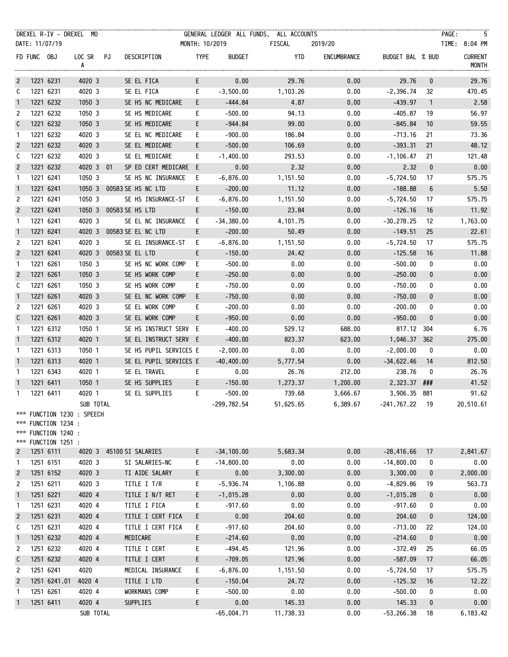|                |             |                                                                   | DREXEL R-IV - DREXEL MO                 |                           |                 |                        |                |               | GENERAL LEDGER ALL FUNDS, ALL ACCOUNTS |             |                  |                  | PAGE:<br>- 5            |
|----------------|-------------|-------------------------------------------------------------------|-----------------------------------------|---------------------------|-----------------|------------------------|----------------|---------------|----------------------------------------|-------------|------------------|------------------|-------------------------|
|                |             | DATE: 11/07/19                                                    |                                         |                           |                 |                        | MONTH: 10/2019 |               | FISCAL                                 | 2019/20     |                  |                  | TIME: 8:04 PM           |
|                | FD FUNC OBJ |                                                                   | LOC SR PJ<br>A                          |                           |                 | DESCRIPTION            | <b>TYPE</b>    | <b>BUDGET</b> | YTD                                    | ENCUMBRANCE | BUDGET BAL % BUD |                  | <b>CURRENT</b><br>MONTH |
| $\overline{c}$ |             | 1221 6231                                                         | 4020 3                                  |                           |                 | SE EL FICA             | E.             | 0.00          | 29.76                                  | 0.00        | 29.76            | $\mathbf 0$      | 29.76                   |
| C              |             | 1221 6231                                                         | 4020 3                                  |                           |                 | SE EL FICA             | E.             | $-3,500.00$   | 1,103.26                               | 0.00        | $-2,396.74$      | 32               | 470.45                  |
| $\mathbf{1}$   |             | 1221 6232                                                         | 1050 3                                  |                           |                 | SE HS NC MEDICARE      | E.             | -444.84       | 4.87                                   | 0.00        | $-439.97$        | $\overline{1}$   | 2.58                    |
| 2              |             | 1221 6232                                                         | 1050 3                                  |                           |                 | SE HS MEDICARE         | E.             | $-500.00$     | 94.13                                  | 0.00        | $-405.87$        | 19               | 56.97                   |
| C              |             | 1221 6232                                                         | 1050 3                                  |                           |                 | SE HS MEDICARE         | E.             | $-944.84$     | 99.00                                  | 0.00        | $-845.84$        | 10               | 59.55                   |
| $\mathbf{1}$   |             | 1221 6232                                                         | 4020 3                                  |                           |                 | SE EL NC MEDICARE      | E.             | $-900.00$     | 186.84                                 | 0.00        | $-713.16$        | 21               | 73.36                   |
| $\overline{c}$ |             | 1221 6232                                                         | 4020 3                                  |                           |                 | SE EL MEDICARE         | E.             | $-500.00$     | 106.69                                 | 0.00        | $-393.31$        | 21               | 48.12                   |
| C              |             | 1221 6232                                                         | 4020 3                                  |                           |                 | SE EL MEDICARE         | E              | $-1,400.00$   | 293.53                                 | 0.00        | $-1, 106.47$     | 21               | 121.48                  |
| $\overline{2}$ |             | 1221 6232                                                         | 4020 3 01                               |                           |                 | SP ED CERT MEDICARE E  |                | 0.00          | 2.32                                   | 0.00        | 2.32             | $\mathbf 0$      | 0.00                    |
| $\mathbf{1}$   |             | 1221 6241                                                         | 1050 3                                  |                           |                 | SE HS NC INSURANCE     | E.             | $-6,876.00$   | 1,151.50                               | 0.00        | $-5,724.50$      | 17               | 575.75                  |
| $\mathbf{1}$   |             | 1221 6241                                                         |                                         | 1050 3 00583 SE HS NC LTD |                 |                        | E.             | $-200.00$     | 11.12                                  | 0.00        | $-188.88$        | 6                | 5.50                    |
| 2              |             | 1221 6241                                                         | 1050 3                                  |                           |                 | SE HS INSURANCE-ST E   |                | $-6,876.00$   | 1,151.50                               | 0.00        | $-5,724.50$      | 17               | 575.75                  |
| $\overline{c}$ |             | 1221 6241                                                         |                                         | 1050 3 00583 SE HS LTD    |                 |                        | E.             | $-150.00$     | 23.84                                  | 0.00        | $-126.16$        | 16               | 11.92                   |
| $\mathbf{1}$   |             | 1221 6241                                                         | 4020 3                                  |                           |                 | SE EL NC INSURANCE E   |                | $-34,380.00$  | 4,101.75                               | 0.00        | $-30,278.25$     | 12               | 1,763.00                |
| $\mathbf{1}$   |             | 1221 6241                                                         |                                         | 4020 3 00583 SE EL NC LTD |                 |                        | E.             | $-200.00$     | 50.49                                  | 0.00        | $-149.51$        | 25               | 22.61                   |
| 2              |             | 1221 6241                                                         | 4020 3                                  |                           |                 | SE EL INSURANCE-ST     | E.             | $-6,876.00$   | 1,151.50                               | 0.00        | $-5,724.50$      | 17               | 575.75                  |
| $\overline{2}$ |             | 1221 6241                                                         |                                         | 4020 3 00583 SE EL LTD    |                 |                        | E.             | $-150.00$     | 24.42                                  | 0.00        | $-125.58$        | 16               | 11.88                   |
| $\mathbf{1}$   |             | 1221 6261                                                         | 1050 3                                  |                           |                 | SE HS NC WORK COMP     | E.             | $-500.00$     | 0.00                                   | 0.00        | $-500.00$        | 0                | 0.00                    |
| $\overline{c}$ |             | 1221 6261                                                         | 1050 3                                  |                           |                 | SE HS WORK COMP        | E.             | $-250.00$     | 0.00                                   | 0.00        | $-250.00$        | $\mathbf 0$      | 0.00                    |
| C              |             | 1221 6261                                                         | 1050 3                                  |                           |                 | SE HS WORK COMP        | E.             | $-750.00$     | 0.00                                   | 0.00        | $-750.00$        | 0                | 0.00                    |
| $\mathbf{1}$   |             | 1221 6261                                                         | 4020 3                                  |                           |                 | SE EL NC WORK COMP E   |                | $-750.00$     | 0.00                                   | 0.00        | $-750.00$        | 0                | 0.00                    |
| 2              |             | 1221 6261                                                         | 4020 3                                  |                           |                 | SE EL WORK COMP        | E.             | $-200.00$     | 0.00                                   | 0.00        | $-200.00$        | 0                | 0.00                    |
| C              |             | 1221 6261                                                         | 4020 3                                  |                           |                 | SE EL WORK COMP        | E.             | $-950.00$     | 0.00                                   | 0.00        | $-950.00$        | 0                | 0.00                    |
| $\mathbf{1}$   |             | 1221 6312                                                         | 1050 1                                  |                           |                 | SE HS INSTRUCT SERV E  |                | $-400.00$     | 529.12                                 | 688.00      | 817.12 304       |                  | 6.76                    |
| $\mathbf{1}$   |             | 1221 6312                                                         | 4020 1                                  |                           |                 | SE EL INSTRUCT SERV E  |                | $-400.00$     | 823.37                                 | 623.00      | 1,046.37 362     |                  | 275.00                  |
| $\mathbf{1}$   |             | 1221 6313                                                         | 1050 1                                  |                           |                 | SE HS PUPIL SERVICES E |                | $-2,000.00$   | 0.00                                   | 0.00        | $-2,000.00$      | $\mathbf 0$      | 0.00                    |
| $\mathbf{1}$   |             | 1221 6313                                                         | 4020 1                                  |                           |                 | SE EL PUPIL SERVICES E |                | $-40,400.00$  | 5,777.54                               | 0.00        | -34,622.46       | 14               | 812.50                  |
| $\mathbf{1}$   |             | 1221 6343                                                         | 4020 1                                  |                           |                 | SE EL TRAVEL           | E.             | 0.00          | 26.76                                  | 212.00      | 238.76           | 0                | 26.76                   |
| $\overline{1}$ |             | 1221 6411                                                         | 1050 1                                  |                           |                 | SE HS SUPPLIES         | E.             | $-150.00$     | 1,273.37                               | 1,200.00    | 2,323.37 ###     |                  | 41.52                   |
| 1              |             | 1221 6411                                                         | 4020 1                                  |                           |                 | SE EL SUPPLIES         | E.             | $-500.00$     | 739.68                                 | 3,666.67    | 3,906.35 881     |                  | 91.62                   |
|                |             | *** FUNCTION 1234 :<br>*** FUNCTION 1240 :<br>*** FUNCTION 1251 : | SUB TOTAL<br>*** FUNCTION 1230 : SPEECH |                           |                 |                        |                | $-299,782.54$ | 51,625.65                              | 6,389.67    | $-241,767.22$    | - 19             | 20,510.61               |
| $\overline{c}$ |             | 1251 6111                                                         | 4020 3                                  | 45100 SI SALARIES         |                 |                        | E.             | $-34, 100.00$ | 5,683.34                               | 0.00        | $-28,416.66$     | 17               | 2,841.67                |
| $\mathbf{1}$   |             | 1251 6151                                                         | 4020 3                                  |                           |                 | SI SALARIES-NC         | E.             | $-14,800.00$  | 0.00                                   | 0.00        | $-14,800.00$     | 0                | 0.00                    |
| $\overline{c}$ |             | 1251 6152                                                         | 4020 3                                  |                           |                 | TI AIDE SALARY         | E.             | 0.00          | 3,300.00                               | 0.00        | 3,300.00         | 0                | 2,000.00                |
| $\overline{c}$ |             | 1251 6211                                                         | 4020 3                                  |                           |                 | TITLE I T/R            | E.             | $-5,936.74$   | 1,106.88                               | 0.00        | $-4,829.86$      | 19               | 563.73                  |
| $\mathbf{1}$   |             | 1251 6221                                                         | 4020 4                                  |                           |                 | TITLE I N/T RET        | E              | $-1,015.28$   | 0.00                                   | 0.00        | $-1,015.28$      | 0                | 0.00                    |
| $\mathbf{1}$   |             | 1251 6231                                                         | 4020 4                                  |                           |                 | TITLE I FICA           | E.             | $-917.60$     | 0.00                                   | 0.00        | $-917.60$        | 0                | 0.00                    |
| $\overline{c}$ |             | 1251 6231                                                         | 4020 4                                  |                           |                 | TITLE I CERT FICA      | E.             | 0.00          | 204.60                                 | 0.00        | 204.60           | 0                | 124.00                  |
| C              |             | 1251 6231                                                         | 4020 4                                  |                           |                 | TITLE I CERT FICA      | E.             | $-917.60$     | 204.60                                 | 0.00        | $-713.00$        | 22               | 124.00                  |
| $\mathbf{1}$   |             | 1251 6232                                                         | 4020 4                                  |                           | MEDICARE        |                        | E.             | $-214.60$     | 0.00                                   | 0.00        | $-214.60$        | $\boldsymbol{0}$ | 0.00                    |
| $\overline{c}$ |             | 1251 6232                                                         | 4020 4                                  |                           |                 | TITLE I CERT           | E              | $-494.45$     | 121.96                                 | 0.00        | $-372.49$        | 25               | 66.05                   |
| C              |             | 1251 6232                                                         | 4020 4                                  |                           |                 | TITLE I CERT           | E              | $-709.05$     | 121.96                                 | 0.00        | $-587.09$        | 17               | 66.05                   |
| $\overline{c}$ |             | 1251 6241                                                         | 4020                                    |                           |                 | MEDICAL INSURANCE      | E.             | $-6,876.00$   | 1,151.50                               | 0.00        | $-5,724.50$      | 17               | 575.75                  |
| $\overline{c}$ |             | 1251 6241.01                                                      | 4020 4                                  |                           |                 | TITLE I LTD            | E.             | $-150.04$     | 24.72                                  | 0.00        | $-125.32$        | 16               | 12.22                   |
| $\mathbf{1}$   |             | 1251 6261                                                         | 4020 4                                  |                           |                 | <b>WORKMANS COMP</b>   | E.             | $-500.00$     | 0.00                                   | 0.00        | $-500.00$        | 0                | 0.00                    |
| $\mathbf{1}$   |             | 1251 6411                                                         | 4020 4                                  |                           | <b>SUPPLIES</b> |                        | E.             | 0.00          | 145.33                                 | 0.00        | 145.33           | 0                | 0.00                    |
|                |             |                                                                   | SUB TOTAL                               |                           |                 |                        |                | $-65,004.71$  | 11,738.33                              | 0.00        | $-53, 266.38$    | 18               | 6,183.42                |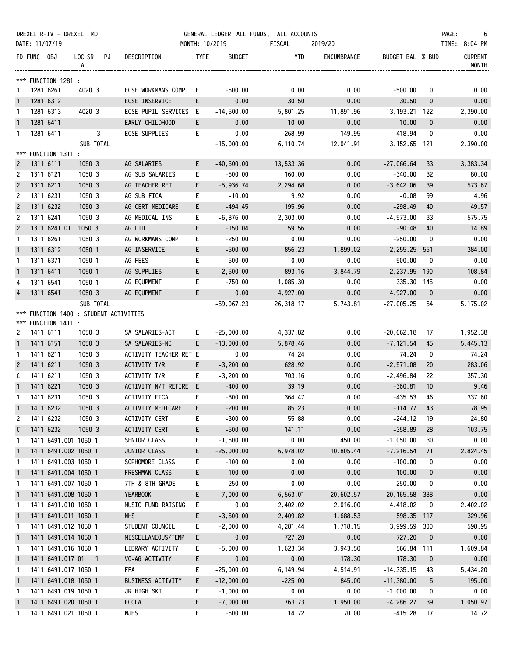|                              |             | DREXEL R-IV - DREXEL MO                                       |                          |              |                                        |                |                      | GENERAL LEDGER ALL FUNDS, ALL ACCOUNTS |                    |                         |                   | PAGE:<br>-6                    |
|------------------------------|-------------|---------------------------------------------------------------|--------------------------|--------------|----------------------------------------|----------------|----------------------|----------------------------------------|--------------------|-------------------------|-------------------|--------------------------------|
|                              |             | DATE: 11/07/19                                                |                          |              |                                        | MONTH: 10/2019 |                      | FISCAL                                 | 2019/20            |                         |                   | TIME: 8:04 PM                  |
|                              | FD FUNC OBJ |                                                               | LOC SR PJ<br>A           |              | DESCRIPTION                            | <b>TYPE</b>    | <b>BUDGET</b>        | YTD                                    | ENCUMBRANCE        | BUDGET BAL % BUD        |                   | <b>CURRENT</b><br><b>MONTH</b> |
|                              |             | *** FUNCTION 1281 :                                           |                          |              |                                        |                |                      |                                        |                    |                         |                   |                                |
| 1                            |             | 1281 6261                                                     | 4020 3                   |              | ECSE WORKMANS COMP                     | E.             | $-500.00$            | 0.00                                   | 0.00               | $-500.00$               | 0                 | 0.00                           |
| $\mathbf{1}$                 |             | 1281 6312                                                     |                          |              | ECSE INSERVICE                         | E.             | 0.00                 | 30.50                                  | 0.00               | 30.50                   | $\bf{0}$          | 0.00                           |
| 1                            |             | 1281 6313                                                     | 4020 3                   |              | ECSE PUPIL SERVICES E                  |                | $-14,500.00$         | 5,801.25                               | 11,891.96          | 3, 193. 21 122          |                   | 2,390.00                       |
| $\mathbf{1}$                 |             | 1281 6411                                                     |                          |              | EARLY CHILDHOOD                        | E.             | 0.00                 | 10.00                                  | 0.00               | 10.00                   | $\mathbf{0}$      | 0.00                           |
| $\mathbf{1}$                 |             | 1281 6411                                                     |                          | $\mathbf{3}$ | ECSE SUPPLIES                          | E.             | 0.00                 | 268.99                                 | 149.95             | 418.94                  | $\mathbf 0$       | 0.00                           |
|                              |             |                                                               | SUB TOTAL                |              |                                        |                | $-15,000.00$         | 6,110.74                               | 12,041.91          | 3, 152.65 121           |                   | 2,390.00                       |
| $\overline{c}$               |             | *** FUNCTION 1311 :<br>1311 6111                              | 1050 3                   |              | AG SALARIES                            | E.             | $-40,600.00$         | 13,533.36                              | 0.00               | $-27,066.64$            | 33                | 3,383.34                       |
| 2                            |             | 1311 6121                                                     | 1050 3                   |              | AG SUB SALARIES                        | E.             | $-500.00$            | 160.00                                 | 0.00               | $-340.00$               | 32                | 80.00                          |
| $\overline{c}$               |             | 1311 6211                                                     | 1050 3                   |              | AG TEACHER RET                         | E.             | $-5,936.74$          | 2,294.68                               | 0.00               | $-3,642.06$             | 39                | 573.67                         |
| $\overline{c}$               |             | 1311 6231                                                     | 1050 3                   |              | AG SUB FICA                            | E.             | $-10.00$             | 9.92                                   | 0.00               | $-0.08$                 | 99                | 4.96                           |
| $\overline{c}$               |             | 1311 6232                                                     | 1050 3                   |              | AG CERT MEDICARE                       | E.             | -494.45              | 195.96                                 | 0.00               | $-298.49$               | 40                | 49.57                          |
| 2                            |             | 1311 6241                                                     | 1050 3                   |              | AG MEDICAL INS                         | E.             | $-6,876.00$          | 2,303.00                               | 0.00               | $-4,573.00$             | 33                | 575.75                         |
| $\overline{c}$               |             | 1311 6241.01                                                  | 1050 3                   |              | AG LTD                                 | E.             | $-150.04$            | 59.56                                  | 0.00               | $-90.48$                | 40                | 14.89                          |
| 1                            |             | 1311 6261                                                     | 1050 3                   |              | AG WORKMANS COMP                       | E.             | $-250.00$            | 0.00                                   | 0.00               | $-250.00$               | 0                 | 0.00                           |
| $\mathbf{1}$                 |             | 1311 6312                                                     | 1050 1                   |              | AG INSERVICE                           | E              | $-500.00$            | 856.23                                 | 1,899.02           | 2,255.25                | 551               | 384.00                         |
| 1                            |             | 1311 6371                                                     | 1050 1                   |              | AG FEES                                | E              | $-500.00$            | 0.00                                   | 0.00               | $-500.00$               | 0                 | 0.00                           |
| $\mathbf{1}$                 |             | 1311 6411                                                     | 1050 1                   |              | AG SUPPLIES                            | E.             | $-2,500.00$          | 893.16                                 | 3,844.79           | 2,237.95 190            |                   | 108.84                         |
| 4                            |             | 1311 6541                                                     | 1050 1                   |              | AG EQUPMENT                            | E.             | $-750.00$            | 1,085.30                               | 0.00               | 335.30 145              |                   | 0.00                           |
| $\overline{4}$               |             | 1311 6541                                                     | 1050 3                   |              | AG EQUPMENT                            | E.             | 0.00                 | 4,927.00                               | 0.00               | 4,927.00                | $\mathbf{0}$      | 0.00                           |
|                              |             |                                                               | SUB TOTAL                |              |                                        |                | $-59,067.23$         | 26,318.17                              | 5,743.81           | $-27,005.25$            | 54                | 5,175.02                       |
|                              |             | *** FUNCTION 1400 : STUDENT ACTIVITIES<br>*** FUNCTION 1411 : |                          |              |                                        |                |                      |                                        |                    |                         |                   |                                |
| 2                            |             | 1411 6111                                                     | 1050 3                   |              | SA SALARIES-ACT                        | Е.             | $-25,000.00$         | 4,337.82                               | 0.00               | $-20,662.18$            | 17                | 1,952.38                       |
| $\mathbf{1}$                 |             | 1411 6151                                                     | 1050 3                   |              | SA SALARIES-NC                         | E.             | $-13,000.00$         | 5,878.46                               | 0.00               | $-7, 121.54$            | 45                | 5,445.13                       |
| $\mathbf{1}$                 |             | 1411 6211                                                     | 1050 3                   |              | ACTIVITY TEACHER RET E                 |                | 0.00                 | 74.24                                  | 0.00               | 74.24                   | 0                 | 74.24                          |
| $\overline{2}$               |             | 1411 6211                                                     | 1050 3                   |              | ACTIVITY T/R                           | E              | $-3,200.00$          | 628.92                                 | 0.00               | $-2,571.08$             | 20                | 283.06                         |
| C                            |             | 1411 6211                                                     | 1050 3                   |              | ACTIVITY T/R                           | E.             | $-3,200.00$          | 703.16                                 | 0.00               | -2,496.84               | 22                | 357.30                         |
| $\mathbf{1}$                 |             | 1411 6221                                                     | 1050 3                   |              | ACTIVITY N/T RETIRE E                  |                | $-400.00$            | 39.19                                  | 0.00               | $-360.81$               | 10                | 9.46                           |
| 1                            |             | 1411 6231                                                     | 1050 3                   |              | ACTIVITY FICA                          | E              | $-800.00$            | 364.47                                 | 0.00               | $-435.53$               | 46                | 337.60                         |
| $\mathbf{1}$                 |             | 1411 6232                                                     | 1050 3                   |              | ACTIVITY MEDICARE                      | E.             | $-200.00$            | 85.23                                  | 0.00               | $-114.77$               | 43                | 78.95                          |
| 2                            |             | 1411 6232                                                     | 1050 3                   |              | ACTIVITY CERT                          | E              | $-300.00$            | 55.88                                  | 0.00               | $-244.12$               | 19                | 24.80                          |
| C                            |             | 1411 6232                                                     | 1050 3                   |              | ACTIVITY CERT                          | E.             | $-500.00$            | 141.11                                 | 0.00               | $-358.89$               | 28                | 103.75                         |
| $\mathbf{1}$                 |             | 1411 6491.001 1050 1                                          |                          |              | SENIOR CLASS                           | E.             | $-1,500.00$          | 0.00                                   | 450.00             | $-1,050.00$             | 30                | 0.00                           |
| $\overline{1}$               |             | 1411 6491.002 1050 1                                          |                          |              | JUNIOR CLASS                           | E              | $-25,000.00$         | 6,978.02                               | 10,805.44          | $-7, 216.54$            | 71                | 2,824.45                       |
| 1                            |             | 1411 6491.003 1050 1                                          |                          |              | SOPHOMORE CLASS                        | E              | $-100.00$            | 0.00                                   | 0.00               | $-100.00$               | 0                 | 0.00                           |
| $\mathbf{1}$                 |             | 1411 6491.004 1050 1                                          |                          |              | FRESHMAN CLASS                         | E.             | $-100.00$            | 0.00                                   | 0.00               | $-100.00$               | 0                 | 0.00                           |
| 1                            |             | 1411 6491.007 1050 1                                          |                          |              | 7TH & 8TH GRADE                        | E              | $-250.00$            | 0.00                                   | 0.00               | $-250.00$               | 0                 | 0.00                           |
| $\mathbf{1}$                 |             | 1411 6491.008 1050 1                                          |                          |              | YEARBOOK                               | E              | $-7,000.00$          | 6,563.01                               | 20,602.57          | 20, 165.58              | 388               | 0.00                           |
| $\mathbf{1}$                 |             | 1411 6491.010 1050 1                                          |                          |              | MUSIC FUND RAISING                     | E.             | 0.00                 | 2,402.02                               | 2,016.00           | 4,418.02                | 0                 | 2,402.02                       |
| $\overline{1}$               |             | 1411 6491.011 1050 1                                          |                          |              | <b>NHS</b>                             | E.             | $-3,500.00$          | 2,409.82                               | 1,688.53           | 598.35                  | 117               | 329.96                         |
| 1                            |             | 1411 6491.012 1050 1                                          |                          |              | STUDENT COUNCIL                        | E.             | $-2,000.00$<br>0.00  | 4,281.44<br>727.20                     | 1,718.15<br>0.00   | 3,999.59<br>727.20      | 300               | 598.95<br>0.00                 |
| $\overline{1}$               |             | 1411 6491.014 1050 1<br>1411 6491.016 1050 1                  |                          |              | MISCELLANEOUS/TEMP<br>LIBRARY ACTIVITY | E.             | $-5,000.00$          | 1,623.34                               | 3,943.50           | 566.84                  | $\mathbf 0$       | 1,609.84                       |
| 1                            |             |                                                               |                          |              |                                        | E.             |                      |                                        |                    |                         | 111               |                                |
| $\mathbf{1}$<br>$\mathbf{1}$ |             | 1411 6491.017 01<br>1411 6491.017 1050 1                      | $\overline{\phantom{0}}$ |              | VO-AG ACTIVITY<br>FFA                  | E.<br>E.       | 0.00<br>$-25,000.00$ | 0.00<br>6,149.94                       | 178.30<br>4,514.91 | 178.30<br>$-14, 335.15$ | $\mathbf 0$<br>43 | 0.00<br>5,434.20               |
| $\overline{1}$               |             | 1411 6491.018 1050 1                                          |                          |              | BUSINESS ACTIVITY                      | E.             | $-12,000.00$         | $-225.00$                              | 845.00             | $-11,380.00$            | 5                 | 195.00                         |
| 1                            |             | 1411 6491.019 1050 1                                          |                          |              | JR HIGH SKI                            | E.             | $-1,000.00$          | 0.00                                   | 0.00               | $-1,000.00$             | 0                 | 0.00                           |
| $\overline{1}$               |             | 1411 6491.020 1050 1                                          |                          |              | <b>FCCLA</b>                           | E.             | $-7,000.00$          | 763.73                                 | 1,950.00           | $-4,286.27$             | 39                | 1,050.97                       |
| 1                            |             | 1411 6491.021 1050 1                                          |                          |              | <b>NJHS</b>                            | E.             | $-500.00$            | 14.72                                  | 70.00              | $-415.28$               | 17                | 14.72                          |
|                              |             |                                                               |                          |              |                                        |                |                      |                                        |                    |                         |                   |                                |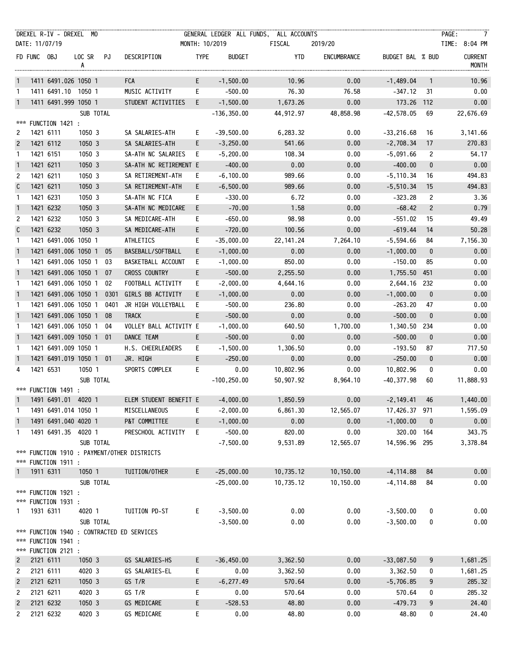|                                |             | DREXEL R-IV - DREXEL MO          |                  |      |                                                               |                |                   | GENERAL LEDGER ALL FUNDS, ALL ACCOUNTS |              |                       |                | PAGE:<br>$\overline{7}$        |
|--------------------------------|-------------|----------------------------------|------------------|------|---------------------------------------------------------------|----------------|-------------------|----------------------------------------|--------------|-----------------------|----------------|--------------------------------|
|                                |             | DATE: 11/07/19                   |                  |      |                                                               | MONTH: 10/2019 |                   | FISCAL                                 | 2019/20      |                       |                | TIME: 8:04 PM                  |
|                                | FD FUNC OBJ |                                  | LOC SR PJ<br>A   |      | DESCRIPTION                                                   | <b>TYPE</b>    | BUDGET            | YTD                                    | ENCUMBRANCE  | BUDGET BAL % BUD      |                | <b>CURRENT</b><br><b>MONTH</b> |
| $\mathbf{1}$                   |             | 1411 6491.026 1050 1             |                  |      | <b>FCA</b>                                                    | E              | $-1,500.00$       | 10.96                                  | 0.00         | $-1,489.04$           | $\overline{1}$ | 10.96                          |
| $\mathbf{1}$                   |             | 1411 6491.10 1050 1              |                  |      | MUSIC ACTIVITY                                                | E              | $-500.00$         | 76.30                                  | 76.58        | -347.12               | -31            | 0.00                           |
| $\mathbf{1}$                   |             | 1411 6491.999 1050 1             |                  |      | STUDENT ACTIVITIES E                                          |                | $-1,500.00$       | 1,673.26                               | 0.00         | 173.26                | 112            | 0.00                           |
|                                |             |                                  | SUB TOTAL        |      |                                                               |                | $-136, 350.00$    | 44,912.97                              | 48,858.98    | $-42,578.05$          | 69             | 22,676.69                      |
|                                |             | *** FUNCTION 1421 :              |                  |      |                                                               |                |                   |                                        |              |                       |                |                                |
| 2                              |             | 1421 6111                        | 1050 3           |      | SA SALARIES-ATH                                               | E.             | $-39,500.00$      | 6,283.32                               | 0.00         | $-33,216.68$          | 16             | 3, 141.66                      |
| $\overline{c}$                 |             | 1421 6112                        | 1050 3           |      | SA SALARIES-ATH                                               | E              | $-3,250.00$       | 541.66                                 | 0.00         | $-2,708.34$           | 17             | 270.83                         |
| $\mathbf{1}$                   |             | 1421 6151                        | 1050 3           |      | SA-ATH NC SALARIES E                                          |                | $-5,200.00$       | 108.34                                 | 0.00         | $-5,091.66$           | 2              | 54.17                          |
| $\overline{1}$                 |             | 1421 6211                        | 1050 3           |      | SA-ATH NC RETIREMENT E                                        |                | $-400.00$         | 0.00                                   | 0.00         | $-400.00$             | $\mathbf 0$    | 0.00                           |
| 2                              |             | 1421 6211                        | 1050 3           |      | SA RETIREMENT-ATH                                             | E.             | $-6, 100.00$      | 989.66                                 | 0.00         | $-5, 110.34$          | 16             | 494.83                         |
| $\mathsf{C}$                   |             | 1421 6211                        | 1050 3           |      | SA RETIREMENT-ATH                                             | E.             | $-6,500.00$       | 989.66                                 | 0.00         | $-5,510.34$           | 15             | 494.83                         |
| $\mathbf{1}$                   |             | 1421 6231                        | 1050 3           |      | SA-ATH NC FICA                                                | E.             | $-330.00$         | 6.72                                   | 0.00         | $-323.28$             | 2              | 3.36                           |
| $\overline{1}$                 |             | 1421 6232                        | 1050 3           |      | SA-ATH NC MEDICARE                                            | E              | $-70.00$          | 1.58                                   | 0.00         | $-68.42$              | $\overline{c}$ | 0.79                           |
| 2                              |             | 1421 6232                        | 1050 3           |      | SA MEDICARE-ATH                                               | E.             | $-650.00$         | 98.98                                  | 0.00         | $-551.02$             | 15             | 49.49                          |
| $\mathsf{C}$                   |             | 1421 6232                        | 1050 3           |      | SA MEDICARE-ATH                                               | E.             | $-720.00$         | 100.56                                 | 0.00         | $-619.44$             | 14             | 50.28                          |
| $\mathbf{1}$                   |             | 1421 6491.006 1050 1             |                  |      | ATHLETICS                                                     | E.             | $-35,000.00$      | 22, 141. 24                            | 7,264.10     | $-5,594.66$           | 84             | 7,156.30                       |
| $\mathbf{1}$                   |             | 1421 6491.006 1050 1 05          |                  |      | BASEBALL/SOFTBALL                                             | E.             | $-1,000.00$       | 0.00                                   | 0.00         | $-1,000.00$           | $\mathbf{0}$   | 0.00                           |
| $\mathbf{1}$                   |             | 1421 6491.006 1050 1 03          |                  |      | BASKETBALL ACCOUNT                                            | E.             | $-1,000.00$       | 850.00                                 | 0.00         | $-150.00$             | 85             | 0.00                           |
| $\overline{1}$                 |             | 1421 6491.006 1050 1 07          |                  |      | CROSS COUNTRY                                                 | E.             | $-500.00$         | 2,255.50                               | 0.00         | 1,755.50              | 451            | 0.00                           |
| -1                             |             | 1421 6491.006 1050 1 02          |                  |      | FOOTBALL ACTIVITY                                             | E.             | $-2,000.00$       | 4,644.16                               | 0.00         | 2,644.16 232          |                | 0.00                           |
| $\overline{1}$                 |             | 1421 6491.006 1050 1             |                  | 0301 | GIRLS BB ACTIVITY                                             | E.             | $-1,000.00$       | 0.00                                   | 0.00         | $-1,000.00$           | $\mathbf 0$    | 0.00                           |
| $\mathbf{1}$                   |             | 1421 6491.006 1050 1             |                  | 0401 | JR HIGH VOLLEYBALL                                            | E.             | $-500.00$         | 236.80                                 | 0.00         | $-263.20$             | 47             | 0.00                           |
| $\overline{1}$                 |             | 1421 6491.006 1050 1 08          |                  |      | <b>TRACK</b>                                                  | E.             | $-500.00$         | 0.00                                   | 0.00         | $-500.00$             | $\mathbf{0}$   | 0.00                           |
| -1                             |             | 1421 6491.006 1050 1 04          |                  |      | VOLLEY BALL ACTIVITY E                                        |                | $-1,000.00$       | 640.50                                 | 1,700.00     | 1,340.50              | 234            | 0.00                           |
| $\overline{1}$                 |             | 1421 6491.009 1050 1 01          |                  |      | DANCE TEAM                                                    | E.             | $-500.00$         | 0.00                                   | 0.00         | $-500.00$             | $\mathbf 0$    | 0.00                           |
| -1                             |             | 1421 6491.009 1050 1             |                  |      | H.S. CHEERLEADERS                                             | E.             | $-1,500.00$       | 1,306.50                               | 0.00         | $-193.50$             | 87             | 717.50                         |
| $\overline{1}$                 |             | 1421 6491.019 1050 1 01          |                  |      | JR. HIGH                                                      | E.             | $-250.00$         | 0.00                                   | 0.00         | $-250.00$             | $\mathbf 0$    | 0.00                           |
| 4                              |             | 1421 6531                        | 1050 1           |      | SPORTS COMPLEX                                                | E              | 0.00              | 10,802.96                              | 0.00         | 10,802.96             | 0              | 0.00                           |
|                                |             |                                  | SUB TOTAL        |      |                                                               |                | $-100, 250.00$    | 50,907.92                              | 8,964.10     | $-40,377.98$          | 60             | 11,888.93                      |
|                                |             | *** FUNCTION 1491 :              |                  |      |                                                               |                |                   |                                        |              |                       |                |                                |
|                                |             |                                  |                  |      | 1  1491  6491.01  4020  1   ELEM STUDENT BENEFIT E   4,000.00 |                |                   | 1,850.59                               | 0.00         | $-2,149.41$ 46        |                | 1,440.00                       |
| -1                             |             | 1491 6491.014 1050 1             |                  |      | MISCELLANEOUS                                                 | E.             | $-2,000.00$       | 6,861.30                               | 12,565.07    | 17,426.37 971         |                | 1,595.09                       |
| $\overline{1}$                 |             | 1491 6491.040 4020 1             |                  |      | P&T COMMITTEE                                                 | E.             | $-1,000.00$       | 0.00                                   | 0.00         | $-1,000.00$           | $\mathbf{0}$   | 0.00                           |
| $\mathbf{1}$                   |             | 1491 6491.35 4020 1              |                  |      | PRESCHOOL ACTIVITY                                            | E              | $-500.00$         | 820.00                                 | 0.00         | 320.00 164            |                | 343.75                         |
|                                |             |                                  | SUB TOTAL        |      |                                                               |                | $-7,500.00$       | 9,531.89                               | 12,565.07    | 14,596.96 295         |                | 3,378.84                       |
|                                |             |                                  |                  |      | *** FUNCTION 1910 : PAYMENT/OTHER DISTRICTS                   |                |                   |                                        |              |                       |                |                                |
| $\mathbf{1}$                   |             | *** FUNCTION 1911 :<br>1911 6311 | 1050 1           |      | TUITION/OTHER                                                 | E.             | $-25,000.00$      | 10,735.12                              | 10,150.00    | $-4, 114.88$          | 84             | 0.00                           |
|                                |             |                                  | SUB TOTAL        |      |                                                               |                | $-25,000.00$      | 10,735.12                              | 10,150.00    | $-4, 114.88$          | 84             | 0.00                           |
|                                |             | *** FUNCTION 1921 :              |                  |      |                                                               |                |                   |                                        |              |                       |                |                                |
|                                |             | *** FUNCTION 1931 :              |                  |      |                                                               |                |                   |                                        |              |                       |                |                                |
| $\mathbf{1}$                   |             | 1931 6311                        | 4020 1           |      | TUITION PD-ST                                                 | E.             | $-3,500.00$       | 0.00                                   | 0.00         | $-3,500.00$           | 0              | 0.00                           |
|                                |             |                                  | SUB TOTAL        |      |                                                               |                | $-3,500.00$       | 0.00                                   | 0.00         | $-3,500.00$           | 0              | 0.00                           |
|                                |             |                                  |                  |      | *** FUNCTION 1940 : CONTRACTED ED SERVICES                    |                |                   |                                        |              |                       |                |                                |
|                                |             | *** FUNCTION 1941 :              |                  |      |                                                               |                |                   |                                        |              |                       |                |                                |
|                                |             | *** FUNCTION 2121 :              |                  |      |                                                               |                |                   |                                        |              |                       |                |                                |
| $\overline{2}$                 |             | 2121 6111                        | 1050 3           |      | GS SALARIES-HS                                                | E.             | $-36,450.00$      | 3,362.50                               | 0.00         | $-33,087.50$          | 9              | 1,681.25                       |
| 2                              |             | 2121 6111                        | 4020 3           |      | GS SALARIES-EL                                                | E.             | 0.00              | 3,362.50                               | 0.00         | 3,362.50              | 0              | 1,681.25                       |
| $\overline{c}$                 |             | 2121 6211                        | 1050 3           |      | GS T/R                                                        | E.             | $-6, 277.49$      | 570.64                                 | 0.00         | $-5,706.85$<br>570.64 | 9              | 285.32<br>285.32               |
| 2                              |             | 2121 6211                        | 4020 3<br>1050 3 |      | GS T/R                                                        | E.             | 0.00              | 570.64                                 | 0.00         |                       | 0              | 24.40                          |
| $\overline{c}$<br>$\mathbf{2}$ |             | 2121 6232<br>2121 6232           | 4020 3           |      | GS MEDICARE<br>GS MEDICARE                                    | E.<br>E.       | $-528.53$<br>0.00 | 48.80<br>48.80                         | 0.00<br>0.00 | $-479.73$<br>48.80    | 9              | 24.40                          |
|                                |             |                                  |                  |      |                                                               |                |                   |                                        |              |                       | 0              |                                |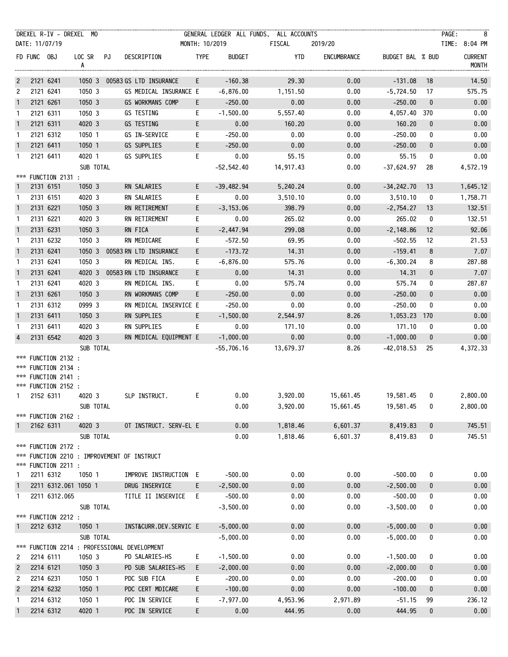|                |             | DREXEL R-IV - DREXEL MO                                                                  |                |                                             |                |                          | GENERAL LEDGER ALL FUNDS, ALL ACCOUNTS |                                   |                          |              | PAGE:<br>$\overline{\phantom{1}}$ 8 |
|----------------|-------------|------------------------------------------------------------------------------------------|----------------|---------------------------------------------|----------------|--------------------------|----------------------------------------|-----------------------------------|--------------------------|--------------|-------------------------------------|
|                |             | DATE: 11/07/19                                                                           |                |                                             | MONTH: 10/2019 |                          | FISCAL                                 | 2019/20                           |                          |              | TIME: 8:04 PM                       |
|                | FD FUNC OBJ |                                                                                          | LOC SR PJ<br>A | DESCRIPTION                                 | <b>TYPE</b>    | <b>BUDGET</b>            | YTD                                    | ENCUMBRANCE                       | BUDGET BAL % BUD         |              | <b>CURRENT</b><br>MONTH             |
| $\overline{c}$ |             | 2121 6241                                                                                |                | 1050 3 00583 GS LTD INSURANCE               | E.             | $-160.38$                | 29.30                                  | 0.00                              | $-131.08$                | 18           | 14.50                               |
| 2              |             | 2121 6241                                                                                | 1050 3         | GS MEDICAL INSURANCE E                      |                | $-6,876.00$              | 1,151.50                               | 0.00                              | $-5,724.50$              | 17           | 575.75                              |
| $\mathbf{1}$   |             | 2121 6261                                                                                | 1050 3         | GS WORKMANS COMP                            | E.             | $-250.00$                | 0.00                                   | 0.00                              | $-250.00$                | $\mathbf 0$  | 0.00                                |
| $\mathbf{1}$   |             | 2121 6311                                                                                | 1050 3         | GS TESTING                                  | E.             | $-1,500.00$              | 5,557.40                               | 0.00                              | 4,057.40 370             |              | 0.00                                |
| $\overline{1}$ |             | 2121 6311                                                                                | 4020 3         | GS TESTING                                  | E              | 0.00                     | 160.20                                 | 0.00                              | 160.20                   | $\mathbf 0$  | 0.00                                |
| -1             |             | 2121 6312                                                                                | 1050 1         | GS IN-SERVICE                               | E.             | $-250.00$                | 0.00                                   | 0.00                              | $-250.00$                | 0            | 0.00                                |
| $\mathbf{1}$   |             | 2121 6411                                                                                | 1050 1         | GS SUPPLIES                                 | E.             | $-250.00$                | 0.00                                   | 0.00                              | $-250.00$                | $\mathbf 0$  | 0.00                                |
| 1              |             | 2121 6411                                                                                | 4020 1         | GS SUPPLIES                                 | E.             | 0.00                     | 55.15                                  | 0.00                              | 55.15                    | 0            | 0.00                                |
|                |             | *** FUNCTION 2131 :                                                                      | SUB TOTAL      |                                             |                | $-52,542.40$             | 14,917.43                              | 0.00                              | -37,624.97               | 28           | 4,572.19                            |
| $\mathbf{1}$   |             | 2131 6151                                                                                | 1050 3         | RN SALARIES                                 | E              | $-39,482.94$             | 5,240.24                               | 0.00                              | $-34,242.70$             | 13           | 1,645.12                            |
| 1              |             | 2131 6151                                                                                | 4020 3         | RN SALARIES                                 | E.             | 0.00                     | 3,510.10                               | 0.00                              | 3,510.10                 | 0            | 1,758.71                            |
| $\mathbf{1}$   |             | 2131 6221                                                                                | 1050 3         | RN RETIREMENT                               | E              | $-3, 153.06$             | 398.79                                 | 0.00                              | $-2,754.27$              | 13           | 132.51                              |
| $\mathbf{1}$   |             | 2131 6221                                                                                | 4020 3         | RN RETIREMENT                               | E.             | 0.00                     | 265.02                                 | 0.00                              | 265.02                   | 0            | 132.51                              |
| $\mathbf{1}$   |             | 2131 6231                                                                                | 1050 3         | RN FICA                                     | E              | $-2,447.94$              | 299.08                                 | 0.00                              | $-2,148.86$              | 12           | 92.06                               |
| $\mathbf{1}$   |             | 2131 6232                                                                                | 1050 3         | RN MEDICARE                                 | E.             | $-572.50$                | 69.95                                  | 0.00                              | $-502.55$                | 12           | 21.53                               |
| $\mathbf{1}$   |             | 2131 6241                                                                                | 1050 3         | 00583 RN LTD INSURANCE                      | E              | $-173.72$                | 14.31                                  | 0.00                              | $-159.41$                | 8            | 7.07                                |
| $\mathbf{1}$   |             | 2131 6241                                                                                | 1050 3         | RN MEDICAL INS.                             | E.             | $-6,876.00$              | 575.76                                 | 0.00                              | $-6,300.24$              | 8            | 287.88                              |
| $\mathbf{1}$   |             | 2131 6241                                                                                | 4020 3         | 00583 RN LTD INSURANCE                      | E.             | 0.00                     | 14.31                                  | 0.00                              | 14.31                    | $\mathbf{0}$ | 7.07                                |
| $\mathbf{1}$   |             | 2131 6241                                                                                | 4020 3         | RN MEDICAL INS.                             | E.             | 0.00                     | 575.74                                 | 0.00                              | 575.74                   | 0            | 287.87                              |
| $\overline{1}$ |             | 2131 6261                                                                                | 1050 3         | RN WORKMANS COMP                            | E.             | $-250.00$                | 0.00                                   | 0.00                              | $-250.00$                | $\mathbf 0$  | 0.00                                |
| 1              |             | 2131 6312                                                                                | 0999 3         | RN MEDICAL INSERVICE E                      |                | $-250.00$                | 0.00                                   | 0.00                              | $-250.00$                | 0            | 0.00                                |
| $\mathbf{1}$   |             | 2131 6411                                                                                | 1050 3         | RN SUPPLIES                                 | E              | $-1,500.00$              | 2,544.97                               | 8.26                              | 1,053.23                 | 170          | 0.00                                |
| 1              |             | 2131 6411                                                                                | 4020 3         | RN SUPPLIES                                 | E.             | 0.00                     | 171.10                                 | 0.00                              | 171.10                   | 0            | 0.00                                |
| $\overline{4}$ |             | 2131 6542                                                                                | 4020 3         | RN MEDICAL EQUIPMENT E                      |                | $-1,000.00$              | 0.00                                   | 0.00                              | $-1,000.00$              | $\mathbf 0$  | 0.00                                |
|                |             |                                                                                          | SUB TOTAL      |                                             |                | $-55,706.16$             | 13,679.37                              | 8.26                              | $-42,018.53$             | 25           | 4,372.33                            |
|                |             | *** FUNCTION 2132 :<br>*** FUNCTION 2134 :<br>*** FUNCTION 2141 :<br>*** FUNCTION 2152 : |                |                                             |                |                          |                                        |                                   |                          |              |                                     |
|                |             | 2152 6311 4020 3                                                                         |                | SLP INSTRUCT.                               |                | E and the state          | 0.00                                   | 3,920.00  15,661.45  19,581.45  0 |                          |              | 2,800.00                            |
|                |             | *** FUNCTION 2162 :                                                                      | SUB TOTAL      |                                             |                | 0.00                     | 3,920.00                               | 15,661.45                         | 19,581.45                | 0            | 2,800.00                            |
| $\mathbf{1}$   |             | 2162 6311                                                                                | 4020 3         | OT INSTRUCT. SERV-EL E                      |                | 0.00                     | 1,818.46                               | 6,601.37                          | 8,419.83                 | 0            | 745.51                              |
|                |             | *** FUNCTION 2172 :<br>*** FUNCTION 2211 :                                               | SUB TOTAL      | *** FUNCTION 2210 : IMPROVEMENT OF INSTRUCT |                | 0.00                     | 1,818.46                               | 6,601.37                          | 8,419.83                 | 0            | 745.51                              |
| 1              |             | 2211 6312                                                                                | 1050 1         | IMPROVE INSTRUCTION E                       |                | $-500.00$                | 0.00                                   | 0.00                              | $-500.00$                | 0            | 0.00                                |
| $\mathbf{1}$   |             | 2211 6312.061 1050 1                                                                     |                | DRUG INSERVICE                              | E.             | $-2,500.00$              | 0.00                                   | 0.00                              | $-2,500.00$              | 0            | 0.00                                |
| 1              |             | 2211 6312.065                                                                            | SUB TOTAL      | TITLE II INSERVICE                          | E.             | $-500.00$<br>$-3,500.00$ | 0.00<br>0.00                           | 0.00<br>0.00                      | $-500.00$<br>$-3,500.00$ | 0<br>0       | 0.00<br>0.00                        |
|                |             | *** FUNCTION 2212 :                                                                      |                |                                             |                |                          |                                        |                                   |                          |              |                                     |
| -1             |             | 2212 6312                                                                                | 1050 1         | INST&CURR.DEV.SERVIC E                      |                | $-5,000.00$              | 0.00                                   | 0.00                              | $-5,000.00$              | 0            | 0.00                                |
| ***            |             |                                                                                          | SUB TOTAL      | FUNCTION 2214 : PROFESSIONAL DEVELOPMENT    |                | $-5,000.00$              | 0.00                                   | 0.00                              | $-5,000.00$              | 0            | 0.00                                |
| 2              |             | 2214 6111                                                                                | 1050 3         | PD SALARIES-HS                              | E              | $-1,500.00$              | 0.00                                   | 0.00                              | $-1,500.00$              | 0            | 0.00                                |
| $\overline{c}$ |             | 2214 6121                                                                                | 1050 3         | PD SUB SALARIES-HS                          | E.             | $-2,000.00$              | 0.00                                   | 0.00                              | $-2,000.00$              | 0            | 0.00                                |
| 2              |             | 2214 6231                                                                                | 1050 1         | PDC SUB FICA                                | E.             | $-200.00$                | 0.00                                   | 0.00                              | $-200.00$                | 0            | 0.00                                |
| $\overline{2}$ |             | 2214 6232                                                                                | 1050 1         | PDC CERT MDICARE                            | E.             | $-100.00$                | 0.00                                   | 0.00                              | $-100.00$                | $\bf{0}$     | 0.00                                |
| 1              |             | 2214 6312                                                                                | 1050 1         | PDC IN SERVICE                              | E.             | $-7,977.00$              | 4,953.96                               | 2,971.89                          | $-51.15$                 | 99           | 236.12                              |
| $\mathbf{1}$   |             | 2214 6312                                                                                | 4020 1         | PDC IN SERVICE                              | E              | 0.00                     | 444.95                                 | 0.00                              | 444.95                   | 0            | 0.00                                |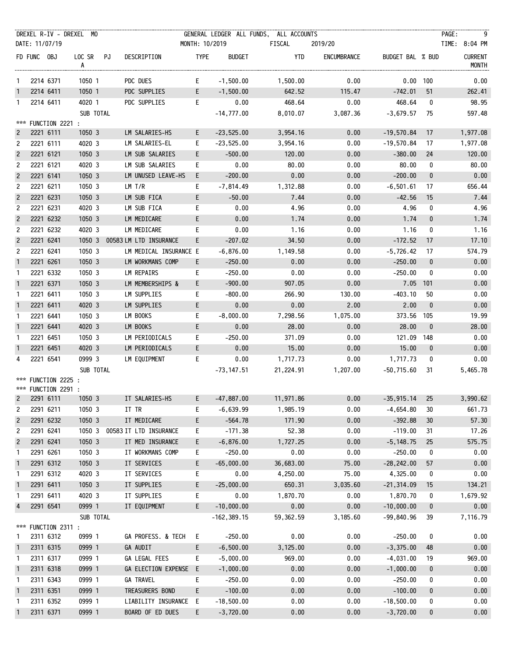|                |             |                                            | DREXEL R-IV - DREXEL MO |                        |                |                | GENERAL LEDGER ALL FUNDS, ALL ACCOUNTS |             |                  |                  | PAGE:<br>- 9                   |
|----------------|-------------|--------------------------------------------|-------------------------|------------------------|----------------|----------------|----------------------------------------|-------------|------------------|------------------|--------------------------------|
|                |             | DATE: 11/07/19                             |                         |                        | MONTH: 10/2019 |                | FISCAL                                 | 2019/20     |                  |                  | TIME: 8:04 PM                  |
|                | FD FUNC OBJ |                                            | LOC SR PJ<br>A          | DESCRIPTION            | <b>TYPE</b>    | <b>BUDGET</b>  | YTD                                    | ENCUMBRANCE | BUDGET BAL % BUD |                  | <b>CURRENT</b><br><b>MONTH</b> |
| $\mathbf{1}$   |             | 2214 6371                                  | 1050 1                  | PDC DUES               | E.             | $-1,500.00$    | 1,500.00                               | 0.00        | $0.00$ 100       |                  | 0.00                           |
| $\mathbf{1}$   |             | 2214 6411                                  | 1050 1                  | PDC SUPPLIES           | E              | $-1,500.00$    | 642.52                                 | 115.47      | $-742.01$        | 51               | 262.41                         |
| 1              |             | 2214 6411                                  | 4020 1                  | PDC SUPPLIES           | E              | 0.00           | 468.64                                 | 0.00        | 468.64           | 0                | 98.95                          |
|                |             |                                            | SUB TOTAL               |                        |                | $-14,777.00$   | 8,010.07                               | 3,087.36    | $-3,679.57$      | 75               | 597.48                         |
|                |             | *** FUNCTION 2221 :                        |                         |                        |                |                |                                        |             |                  |                  |                                |
| $\overline{2}$ |             | 2221 6111                                  | 1050 3                  | LM SALARIES-HS         | E.             | $-23,525.00$   | 3,954.16                               | 0.00        | $-19,570.84$     | 17               | 1,977.08                       |
| $\overline{c}$ |             | 2221 6111                                  | 4020 3                  | LM SALARIES-EL         | E.             | $-23,525.00$   | 3,954.16                               | 0.00        | $-19,570.84$     | 17               | 1,977.08                       |
| $\overline{c}$ |             | 2221 6121                                  | 1050 3                  | LM SUB SALARIES        | E.             | $-500.00$      | 120.00                                 | 0.00        | $-380.00$        | 24               | 120.00                         |
| $\overline{c}$ |             | 2221 6121                                  | 4020 3                  | LM SUB SALARIES        | E.             | 0.00           | 80.00                                  | 0.00        | 80.00            | 0                | 80.00                          |
| $\overline{2}$ |             | 2221 6141                                  | 1050 3                  | LM UNUSED LEAVE-HS     | E.             | $-200.00$      | 0.00                                   | 0.00        | $-200.00$        | $\bf{0}$         | 0.00                           |
| 2              |             | 2221 6211                                  | 1050 3                  | LM T/R                 | E.             | -7,814.49      | 1,312.88                               | 0.00        | $-6,501.61$      | 17               | 656.44                         |
| $\overline{c}$ |             | 2221 6231                                  | 1050 3                  | LM SUB FICA            | E              | $-50.00$       | 7.44                                   | 0.00        | $-42.56$         | 15               | 7.44                           |
| $\overline{c}$ |             | 2221 6231                                  | 4020 3                  | LM SUB FICA            | E.             | 0.00           | 4.96                                   | 0.00        | 4.96             | 0                | 4.96                           |
| $\overline{c}$ |             | 2221 6232                                  | 1050 3                  | LM MEDICARE            | E.             | 0.00           | 1.74                                   | 0.00        | 1.74             | $\boldsymbol{0}$ | 1.74                           |
| 2              |             | 2221 6232                                  | 4020 3                  | LM MEDICARE            | E              | 0.00           | 1.16                                   | 0.00        | 1.16             | 0                | 1.16                           |
| $\overline{2}$ |             | 2221 6241                                  | 1050 3                  | 00583 LM LTD INSURANCE | E.             | $-207.02$      | 34.50                                  | 0.00        | $-172.52$        | 17               | 17.10                          |
| 2              |             | 2221 6241                                  | 1050 3                  | LM MEDICAL INSURANCE E |                | $-6,876.00$    | 1,149.58                               | 0.00        | $-5,726.42$      | 17               | 574.79                         |
| $\mathbf{1}$   |             | 2221 6261                                  | 1050 3                  | LM WORKMANS COMP       | E.             | $-250.00$      | 0.00                                   | 0.00        | $-250.00$        | $\mathbf{0}$     | 0.00                           |
| -1             |             | 2221 6332                                  | 1050 3                  | LM REPAIRS             | E.             | $-250.00$      | 0.00                                   | 0.00        | $-250.00$        | 0                | 0.00                           |
| $\mathbf{1}$   |             | 2221 6371                                  | 1050 3                  | LM MEMBERSHIPS &       | E.             | $-900.00$      | 907.05                                 | 0.00        | 7.05 101         |                  | 0.00                           |
| $\mathbf{1}$   |             | 2221 6411                                  | 1050 3                  | LM SUPPLIES            | E.             | $-800.00$      | 266.90                                 | 130.00      | $-403.10$        | 50               | 0.00                           |
| $\mathbf{1}$   |             | 2221 6411                                  | 4020 3                  | LM SUPPLIES            | E.             | 0.00           | 0.00                                   | 2.00        | 2.00             | $\mathbf{0}$     | 0.00                           |
| $\mathbf{1}$   |             | 2221 6441                                  | 1050 3                  | LM BOOKS               | E.             | $-8,000.00$    | 7,298.56                               | 1,075.00    | 373.56 105       |                  | 19.99                          |
| $\mathbf{1}$   |             | 2221 6441                                  | 4020 3                  | LM BOOKS               | E.             | 0.00           | 28.00                                  | 0.00        | 28.00            | $\mathbf{0}$     | 28.00                          |
| $\mathbf{1}$   |             | 2221 6451                                  | 1050 3                  | LM PERIODICALS         | E.             | $-250.00$      | 371.09                                 | 0.00        | 121.09 148       |                  | 0.00                           |
| $\mathbf{1}$   |             | 2221 6451                                  | 4020 3                  | LM PERIODICALS         | E.             | 0.00           | 15.00                                  | 0.00        | 15.00            | $\mathbf{0}$     | 0.00                           |
| 4              |             | 2221 6541                                  | 0999 3                  | LM EQUIPMENT           | E.             | 0.00           | 1,717.73                               | 0.00        | 1,717.73         | 0                | 0.00                           |
|                |             |                                            | SUB TOTAL               |                        |                | $-73, 147.51$  | 21,224.91                              | 1,207.00    | $-50,715.60$     | -31              | 5,465.78                       |
|                |             | *** FUNCTION 2225 :<br>*** FUNCTION 2291 : |                         |                        |                |                |                                        |             |                  |                  |                                |
|                |             |                                            | 2291 6111 1050 3        | IT SALARIES-HS         | E              | $-47,887.00$   | 11,971.86                              | 0.00        | $-35,915.14$ 25  |                  | 3,990.62                       |
| 2              |             | 2291 6211                                  | 1050 3                  | IT TR                  | E.             | $-6,639.99$    | 1,985.19                               | 0.00        | $-4,654.80$      | 30               | 661.73                         |
| $\overline{c}$ |             | 2291 6232                                  | 1050 3                  | IT MEDICARE            | E.             | $-564.78$      | 171.90                                 | 0.00        | $-392.88$        | 30               | 57.30                          |
| 2              |             | 2291 6241                                  | 1050 3                  | 00583 IT LTD INSURANCE | E.             | $-171.38$      | 52.38                                  | 0.00        | $-119.00$        | 31               | 17.26                          |
| $\overline{2}$ |             | 2291 6241                                  | 1050 3                  | IT MED INSURANCE       | E.             | $-6,876.00$    | 1,727.25                               | 0.00        | $-5, 148.75$     | 25               | 575.75                         |
| 1              |             | 2291 6261                                  | 1050 3                  | IT WORKMANS COMP       | E.             | $-250.00$      | 0.00                                   | 0.00        | $-250.00$        | 0                | 0.00                           |
| $\mathbf{1}$   |             | 2291 6312                                  | 1050 3                  | IT SERVICES            | E.             | $-65,000.00$   | 36,683.00                              | 75.00       | $-28, 242.00$    | 57               | 0.00                           |
| 1              |             | 2291 6312                                  | 4020 3                  | IT SERVICES            | E.             | 0.00           | 4,250.00                               | 75.00       | 4,325.00         | 0                | 0.00                           |
| $\mathbf{1}$   |             | 2291 6411                                  | 1050 3                  | IT SUPPLIES            | E,             | $-25,000.00$   | 650.31                                 | 3,035.60    | $-21, 314.09$    | 15               | 134.21                         |
| 1              |             | 2291 6411                                  | 4020 3                  | IT SUPPLIES            | E.             | 0.00           | 1,870.70                               | 0.00        | 1,870.70         | 0                | 1,679.92                       |
| $\overline{4}$ |             | 2291 6541                                  | 0999 1                  | IT EQUIPMENT           | E.             | $-10,000.00$   | 0.00                                   | 0.00        | $-10,000.00$     | $\mathbf 0$      | 0.00                           |
|                |             |                                            | SUB TOTAL               |                        |                | $-162, 389.15$ | 59,362.59                              | 3,185.60    | $-99,840.96$     | 39               | 7,116.79                       |
|                |             | *** FUNCTION 2311 :                        |                         |                        |                |                |                                        |             |                  |                  |                                |
| -1             |             | 2311 6312                                  | 0999 1                  | GA PROFESS. & TECH     | E.             | $-250.00$      | 0.00                                   | 0.00        | $-250.00$        | 0                | 0.00                           |
| $\overline{1}$ |             | 2311 6315                                  | 0999 1                  | GA AUDIT               | E.             | $-6,500.00$    | 3,125.00                               | 0.00        | $-3,375.00$      | 48               | 0.00                           |
| 1              |             | 2311 6317                                  | 0999 1                  | GA LEGAL FEES          | E.             | $-5,000.00$    | 969.00                                 | 0.00        | $-4,031.00$      | 19               | 969.00                         |
| $\mathbf{1}$   |             | 2311 6318                                  | 0999 1                  | GA ELECTION EXPENSE E  |                | $-1,000.00$    | 0.00                                   | 0.00        | $-1,000.00$      | 0                | 0.00                           |
| 1              |             | 2311 6343                                  | 0999 1                  | <b>GA TRAVEL</b>       | E.             | $-250.00$      | 0.00                                   | 0.00        | $-250.00$        | 0                | 0.00                           |
| $\overline{1}$ |             | 2311 6351                                  | 0999 1                  | TREASURERS BOND        | E.             | $-100.00$      | 0.00                                   | 0.00        | $-100.00$        | 0                | 0.00                           |
| $\mathbf{1}$   |             | 2311 6352                                  | 0999 1                  | LIABILITY INSURANCE E  |                | $-18,500.00$   | 0.00                                   | 0.00        | $-18,500.00$     | 0                | 0.00                           |
| $\mathbf{1}$   |             | 2311 6371                                  | 0999 1                  | BOARD OF ED DUES       | E.             | $-3,720.00$    | 0.00                                   | 0.00        | $-3,720.00$      | 0                | 0.00                           |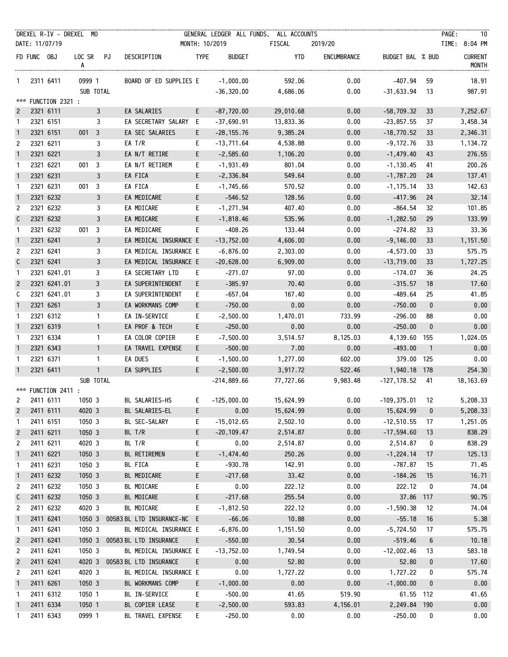|                |             | DREXEL R-IV - DREXEL MO |                |                |                              |             |                | GENERAL LEDGER ALL FUNDS, ALL ACCOUNTS |             |                   |                | PAGE:<br>10                    |
|----------------|-------------|-------------------------|----------------|----------------|------------------------------|-------------|----------------|----------------------------------------|-------------|-------------------|----------------|--------------------------------|
|                |             | DATE: 11/07/19          |                |                |                              |             | MONTH: 10/2019 | FISCAL                                 | 2019/20     |                   |                | TIME: 8:04 PM                  |
|                | FD FUNC OBJ |                         | LOC SR PJ<br>A |                | DESCRIPTION                  | <b>TYPE</b> | <b>BUDGET</b>  | YTD                                    | ENCUMBRANCE | BUDGET BAL % BUD  |                | <b>CURRENT</b><br><b>MONTH</b> |
| $\mathbf{1}$   |             | 2311 6411               | 0999 1         |                | BOARD OF ED SUPPLIES E       |             | $-1,000.00$    | 592.06                                 | 0.00        | -407.94           | 59             | 18.91                          |
|                |             |                         | SUB TOTAL      |                |                              |             | $-36,320.00$   | 4,686.06                               | 0.00        | $-31,633.94$      | 13             | 987.91                         |
| ***            |             | FUNCTION 2321 :         |                |                |                              |             |                |                                        |             |                   |                |                                |
| $\mathbf{2}$   |             | 2321 6111               |                | $\mathbf{3}$   | EA SALARIES                  | E           | $-87,720.00$   | 29,010.68                              | 0.00        | $-58,709.32$      | 33             | 7,252.67                       |
| 1              |             | 2321 6151               |                | $\mathbf{3}$   | EA SECRETARY SALARY E        |             | $-37,690.91$   | 13,833.36                              | 0.00        | $-23,857.55$      | 37             | 3,458.34                       |
| $\mathbf{1}$   |             | 2321 6151               | $001 \quad 3$  |                | EA SEC SALARIES              | E.          | $-28, 155.76$  | 9,385.24                               | 0.00        | $-18,770.52$      | 33             | 2,346.31                       |
| 2              |             | 2321 6211               |                | 3              | EA T/R                       | E.          | $-13,711.64$   | 4,538.88                               | 0.00        | -9,172.76         | 33             | 1,134.72                       |
| $\mathbf{1}$   |             | 2321 6221               |                | 3              | EA N/T RETIRE                | E           | $-2,585.60$    | 1,106.20                               | 0.00        | $-1,479.40$       | 43             | 276.55                         |
| $\mathbf{1}$   |             | 2321 6221               | 0013           |                | EA N/T RETIREM               | E.          | $-1,931.49$    | 801.04                                 | 0.00        | $-1, 130.45$      | 41             | 200.26                         |
| $\mathbf{1}$   |             | 2321 6231               |                | 3              | EA FICA                      | E           | $-2,336.84$    | 549.64                                 | 0.00        | $-1,787.20$       | 24             | 137.41                         |
| $\mathbf{1}$   |             | 2321 6231               | $001 \quad 3$  |                | EA FICA                      | E.          | $-1,745.66$    | 570.52                                 | 0.00        | $-1, 175.14$      | 33             | 142.63                         |
| $\mathbf{1}$   |             | 2321 6232               |                | 3              | EA MEDICARE                  | E           | $-546.52$      | 128.56                                 | 0.00        | $-417.96$         | 24             | 32.14                          |
| $\overline{c}$ |             | 2321 6232               |                | 3              | EA MDICARE                   | E.          | $-1, 271.94$   | 407.40                                 | 0.00        | $-864.54$         | 32             | 101.85                         |
| C              |             | 2321 6232               |                | 3              | EA MDICARE                   | E           | $-1,818.46$    | 535.96                                 | 0.00        | $-1,282.50$       | 29             | 133.99                         |
| $\mathbf{1}$   |             | 2321 6232               | 001            | $\overline{3}$ | EA MEDICARE                  | E.          | -408.26        | 133.44                                 | 0.00        | -274.82           | 33             | 33.36                          |
| $\mathbf{1}$   |             | 2321 6241               |                | 3              | EA MEDICAL INSURANCE E       |             | $-13,752.00$   | 4,606.00                               | 0.00        | $-9,146.00$       | 33             | 1,151.50                       |
| 2              |             | 2321 6241               |                | 3              | EA MEDICAL INSURANCE E       |             | $-6,876.00$    | 2,303.00                               | 0.00        | $-4,573.00$       | 33             | 575.75                         |
| C              |             | 2321 6241               |                | 3              | EA MEDICAL INSURANCE E       |             | $-20,628.00$   | 6,909.00                               | 0.00        | $-13,719.00$      | 33             | 1,727.25                       |
| $\mathbf{1}$   |             | 2321 6241.01            |                | 3              | EA SECRETARY LTD             | E.          | -271.07        | 97.00                                  | 0.00        | -174.07           | 36             | 24.25                          |
| $\overline{c}$ |             | 2321 6241.01            |                | 3              | EA SUPERINTENDENT            | E           | $-385.97$      | 70.40                                  | 0.00        | $-315.57$         | 18             | 17.60                          |
| C              |             | 2321 6241.01            |                | 3              | EA SUPERINTENDENT            | E.          | $-657.04$      | 167.40                                 | 0.00        | -489.64           | 25             | 41.85                          |
| $\mathbf{1}$   |             | 2321 6261               |                | 3              | EA WORKMANS COMP             | E.          | $-750.00$      | 0.00                                   | 0.00        | $-750.00$         | $\mathbf{0}$   | 0.00                           |
| $\mathbf{1}$   |             | 2321 6312               |                | $\mathbf{1}$   | EA IN-SERVICE                | E.          | $-2,500.00$    | 1,470.01                               | 733.99      | $-296.00$         | 88             | 0.00                           |
| $\mathbf{1}$   |             | 2321 6319               |                | $\mathbf{1}$   | EA PROF & TECH               | E           | $-250.00$      | 0.00                                   | 0.00        | $-250.00$         | $\bf{0}$       | 0.00                           |
| $\mathbf{1}$   |             | 2321 6334               |                | $\mathbf{1}$   | EA COLOR COPIER              | E.          | $-7,500.00$    | 3,514.57                               | 8,125.03    | 4,139.60 155      |                | 1,024.05                       |
| $\mathbf{1}$   |             | 2321 6343               |                | $\mathbf{1}$   | EA TRAVEL EXPENSE            | E.          | $-500.00$      | 7.00                                   | 0.00        | $-493.00$         | $\overline{1}$ | 0.00                           |
| 1              |             | 2321 6371               |                | $\mathbf{1}$   | EA DUES                      | E.          | $-1,500.00$    | 1,277.00                               | 602.00      | 379.00 125        |                | 0.00                           |
| $\mathbf{1}$   |             | 2321 6411               |                | $\mathbf{1}$   | EA SUPPLIES                  | E           | $-2,500.00$    | 3,917.72                               | 522.46      | 1,940.18 178      |                | 254.30                         |
|                |             |                         | SUB TOTAL      |                |                              |             | $-214,889.66$  | 77,727.66                              | 9,983.48    | $-127, 178.52$ 41 |                | 18, 163.69                     |
|                |             | *** FUNCTION 2411 :     |                |                |                              |             |                |                                        |             |                   |                |                                |
|                |             | 2411 6111 1050 3        |                |                | BL SALARIES-HS E -125,000.00 |             |                | 15,624.99                              | 0.00        | $-109,375.01$ 12  |                | 5,208.33                       |
| $\overline{c}$ |             | 2411 6111               | 4020 3         |                | BL SALARIES-EL               | E.          | 0.00           | 15,624.99                              | 0.00        | 15,624.99         | 0              | 5,208.33                       |
| -1             |             | 2411 6151               | 1050 3         |                | BL SEC-SALARY                | E.          | $-15,012.65$   | 2,502.10                               | 0.00        | $-12,510.55$      | 17             | 1,251.05                       |
| $\overline{c}$ |             | 2411 6211               | 1050 3         |                | BL T/R                       | E.          | $-20, 109.47$  | 2,514.87                               | 0.00        | $-17,594.60$      | 13             | 838.29                         |
| 2              |             | 2411 6211               | 4020 3         |                | BL T/R                       | E.          | 0.00           | 2,514.87                               | 0.00        | 2,514.87          | 0              | 838.29                         |
| $\mathbf{1}$   |             | 2411 6221               | 1050 3         |                | BL RETIREMEN                 | E.          | $-1,474.40$    | 250.26                                 | 0.00        | $-1,224.14$       | 17             | 125.13                         |
| $\mathbf{1}$   |             | 2411 6231               | 1050 3         |                | BL FICA                      | E.          | $-930.78$      | 142.91                                 | 0.00        | $-787.87$         | 15             | 71.45                          |
| $\mathbf{1}$   |             | 2411 6232               | 1050 3         |                | BL MEDICARE                  | E           | $-217.68$      | 33.42                                  | 0.00        | $-184.26$         | 15             | 16.71                          |
| 2              |             | 2411 6232               | 1050 3         |                | BL MDICARE                   | E.          | 0.00           | 222.12                                 | 0.00        | 222.12            | 0              | 74.04                          |
| C              |             | 2411 6232               | 1050 3         |                | BL MDICARE                   | E.          | $-217.68$      | 255.54                                 | 0.00        | 37.86             | 117            | 90.75                          |
| 2              |             | 2411 6232               | 4020 3         |                | BL MDICARE                   | E.          | $-1,812.50$    | 222.12                                 | 0.00        | $-1,590.38$       | 12             | 74.04                          |
| $\mathbf{1}$   |             | 2411 6241               | 1050 3         |                | 00583 BL LTD INSURANCE-NC E  |             | $-66.06$       | 10.88                                  | 0.00        | $-55.18$          | 16             | 5.38                           |
| $\mathbf{1}$   |             | 2411 6241               | 1050 3         |                | BL MEDICAL INSURANCE E       |             | $-6,876.00$    | 1,151.50                               | 0.00        | $-5,724.50$       | 17             | 575.75                         |
| $\overline{c}$ |             | 2411 6241               | 1050 3         |                | 00583 BL LTD INSURANCE       | $-E$        | $-550.00$      | 30.54                                  | 0.00        | $-519.46$         | 6              | 10.18                          |
| 2              |             | 2411 6241               | 1050 3         |                | BL MEDICAL INSURANCE E       |             | $-13,752.00$   | 1,749.54                               | 0.00        | $-12,002.46$      | 13             | 583.18                         |
| $\overline{c}$ |             | 2411 6241               | 4020 3         |                | 00583 BL LTD INSURANCE       | E           | 0.00           | 52.80                                  | 0.00        | 52.80             | 0              | 17.60                          |
| 2              |             | 2411 6241               | 4020 3         |                | BL MEDICAL INSURANCE E       |             | 0.00           | 1,727.22                               | 0.00        | 1,727.22          | 0              | 575.74                         |
| $\mathbf{1}$   |             | 2411 6261               | 1050 3         |                | BL WORKMANS COMP             | E.          | $-1,000.00$    | 0.00                                   | 0.00        | $-1,000.00$       | 0              | 0.00                           |
| $\mathbf{1}$   |             | 2411 6312               | 1050 1         |                | BL IN-SERVICE                | E.          | $-500.00$      | 41.65                                  | 519.90      | 61.55 112         |                | 41.65                          |
| $\mathbf{1}$   |             | 2411 6334               | 1050 1         |                | BL COPIER LEASE              | E.          | $-2,500.00$    | 593.83                                 | 4,156.01    | 2,249.84 190      |                | 0.00                           |
| 1              |             | 2411 6343               | 0999 1         |                | BL TRAVEL EXPENSE            | E.          | $-250.00$      | 0.00                                   | 0.00        | $-250.00$         | 0              | 0.00                           |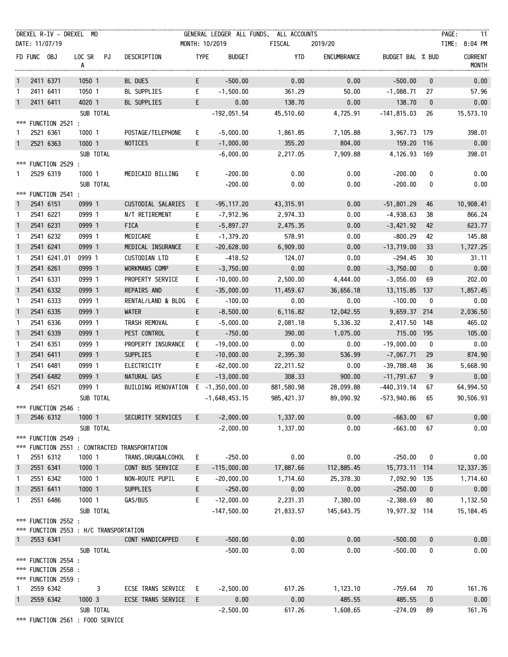| MONTH: 10/2019<br>FD FUNC OBJ<br><b>TYPE</b><br><b>CURRENT</b><br>LOC SR PJ<br>DESCRIPTION<br><b>BUDGET</b><br>YTD<br>ENCUMBRANCE<br>BUDGET BAL % BUD<br><b>MONTH</b><br>A<br>E<br>$-500.00$<br>0.00<br>0.00<br>$-500.00$<br>2411 6371<br>1050 1<br>BL DUES<br>$\bf{0}$<br>0.00<br>$\mathbf{1}$<br>E<br>361.29<br>50.00<br>$-1,088.71$<br>57.96<br>2411 6411<br>1050 1<br>BL SUPPLIES<br>$-1,500.00$<br>27<br>1<br>E<br>0.00<br>138.70<br>0.00<br>138.70<br>2411 6411<br>4020 1<br>$\bf{0}$<br>0.00<br>$\mathbf{1}$<br>BL SUPPLIES<br>SUB TOTAL<br>$-192,051.54$<br>45,510.60<br>4,725.91<br>$-141,815.03$<br>15,573.10<br>26<br>***<br>FUNCTION 2521 :<br>2521 6361<br>1000 1<br>POSTAGE/TELEPHONE<br>$-5,000.00$<br>7,105.88<br>3,967.73 179<br>398.01<br>E.<br>1,861.85<br>1<br>E<br>$-1,000.00$<br>355.20<br>804.00<br>159.20 116<br>0.00<br>2521 6363<br>1000 1<br><b>NOTICES</b><br>$\mathbf{1}$<br>4,126.93 169<br>SUB TOTAL<br>2,217.05<br>7,909.88<br>398.01<br>$-6,000.00$<br>FUNCTION 2529 :<br>***<br>0.00<br>2529 6319<br>1000 1<br>MEDICAID BILLING<br>E.<br>$-200.00$<br>0.00<br>$-200.00$<br>0<br>0.00<br>1.<br>SUB TOTAL<br>0.00<br>$-200.00$<br>0.00<br>$-200.00$<br>0.00<br>0<br>*** FUNCTION 2541 :<br>0999 1<br>0.00<br>10,908.41<br>2541 6151<br>CUSTODIAL SALARIES<br>E.<br>$-95, 117.20$<br>43,315.91<br>$-51,801.29$<br>46<br>$\mathbf{1}$<br>0999 1<br>2,974.33<br>0.00<br>$-4,938.63$<br>866.24<br>2541 6221<br>N/T RETIREMENT<br>E.<br>-7,912.96<br>38<br>$\mathbf{1}$<br>E<br>2541 6231<br>0999 1<br>FICA<br>$-5,897.27$<br>0.00<br>$-3,421.92$<br>623.77<br>$\mathbf{1}$<br>2,475.35<br>42<br>2541 6232<br>0999 1<br>MEDICARE<br>$-1,379.20$<br>578.91<br>0.00<br>$-800.29$<br>42<br>145.88<br>E.<br>$\mathbf{1}$<br>2541 6241<br>0999 1<br>0.00<br>$-13,719.00$<br>$\mathbf{1}$<br>MEDICAL INSURANCE<br>E.<br>$-20,628.00$<br>6,909.00<br>33<br>1,727.25<br>0.00<br>2541 6241.01<br>0999 1<br>$-418.52$<br>124.07<br>$-294.45$<br>30<br>CUSTODIAN LTD<br>E.<br>31.11<br>1<br>2541 6261<br>0999 1<br>E<br>0.00<br>0.00<br>$-3,750.00$<br>0.00<br>$\mathbf{1}$<br>WORKMANS COMP<br>$-3,750.00$<br>$\mathbf{0}$<br>2541 6331<br>0999 1<br>4,444.00<br>202.00<br>PROPERTY SERVICE<br>E.<br>$-10,000.00$<br>2,500.00<br>$-3,056.00$<br>69<br>$\mathbf{1}$<br>$\mathbf{1}$<br>2541 6332<br>0999 1<br>REPAIRS AND<br>E<br>$-35,000.00$<br>11,459.67<br>36,656.18<br>13, 115.85 137<br>1,857.45<br>2541 6333<br>0999 1<br>$-100.00$<br>0.00<br>0.00<br>$-100.00$<br>RENTAL/LAND & BLDG<br>E.<br>0<br>0.00<br>1<br>2541 6335<br>0999 1<br>$\mathbf{1}$<br>WATER<br>E.<br>$-8,500.00$<br>6,116.82<br>12,042.55<br>9,659.37 214<br>2,036.50<br>2541 6336<br>0999 1<br>TRASH REMOVAL<br>2,417.50 148<br>465.02<br>E.<br>$-5,000.00$<br>2,081.18<br>5,336.32<br>1<br>$\mathbf{1}$<br>2541 6339<br>0999 1<br>1,075.00<br>715.00 195<br>105.00<br>PEST CONTROL<br>E.<br>$-750.00$<br>390.00<br>2541 6351<br>0999 1<br>PROPERTY INSURANCE<br>$-19,000.00$<br>0.00<br>0.00<br>$-19,000.00$<br>0.00<br>E.<br>0<br>$\mathbf{1}$<br>2541 6411<br>0999 1<br>SUPPLIES<br>E<br>$-10,000.00$<br>536.99<br>$-7,067.71$<br>874.90<br>$\mathbf{1}$<br>2,395.30<br>29<br>0999 1<br>$-62,000.00$<br>0.00<br>-39,788.48<br>36<br>5,668.90<br>2541 6481<br>ELECTRICITY<br>E.<br>22,211.52<br>$\mathbf{1}$<br>2541 6482<br>9<br>0999 1<br>NATURAL GAS<br>E.<br>$-13,000.00$<br>308.33<br>900.00<br>$-11,791.67$<br>0.00<br>$\mathbf{1}$<br>2541 6521<br>0999 1<br>$-440, 319.14$<br>BUILDING RENOVATION E -1,350,000.00<br>881,580.98<br>28,099.88<br>67<br>64,994.50<br>4<br>-573,940.86<br>90,506.93<br>SUB TOTAL<br>985,421.37<br>89,090.92<br>65<br>-1,648,453.15<br>*** FUNCTION 2546 :<br>1000 1<br>$-2,000.00$<br>1,337.00<br>0.00<br>$-663.00$<br>0.00<br>2546 6312<br>SECURITY SERVICES<br>E.<br>67<br>-1<br>SUB TOTAL<br>$-663.00$<br>$-2,000.00$<br>1,337.00<br>0.00<br>0.00<br>67<br>FUNCTION 2549 :<br>***<br>FUNCTION 2551 : CONTRACTED TRANSPORTATION<br>***<br>0.00<br>0.00<br>2551 6312<br>1000 1<br>TRANS.DRUG&ALCOHOL<br>$-250.00$<br>$-250.00$<br>0.00<br>E.<br>0<br>1<br>2551 6341<br>1000 1<br>$-115,000.00$<br>112,885.45<br>15,773.11 114<br>12, 337.35<br>CONT BUS SERVICE<br>17,887.66<br>$\mathbf{1}$<br>E.<br>2551 6342<br>1000 1<br>NON-ROUTE PUPIL<br>$-20,000.00$<br>1,714.60<br>25,378.30<br>7,092.90 135<br>1,714.60<br>E.<br>1<br>2551 6411<br>1000 1<br><b>SUPPLIES</b><br>E.<br>$-250.00$<br>0.00<br>$-250.00$<br>0.00<br>0.00<br>$\mathbf{1}$<br>$\bf{0}$<br>2551 6486<br>1000 1<br>GAS/BUS<br>$-12,000.00$<br>2,231.31<br>7,380.00<br>$-2,388.69$<br>1,132.50<br>E.<br>80<br>1<br>SUB TOTAL<br>19,977.32 114<br>$-147,500.00$<br>21,833.57<br>145,643.75<br>15, 184.45<br>*** FUNCTION 2552 :<br>*** FUNCTION 2553 : H/C TRANSPORTATION<br>0.00<br>0.00<br>$-500.00$<br>0.00<br>2553 6341<br>CONT HANDICAPPED<br>E.<br>$-500.00$<br>$\mathbf{0}$<br>1<br>SUB TOTAL<br>0.00<br>0.00<br>$-500.00$<br>0.00<br>$-500.00$<br>0<br>*** FUNCTION 2554 :<br>*** FUNCTION 2558 :<br>*** FUNCTION 2559 :<br>3<br>ECSE TRANS SERVICE<br>$-2,500.00$<br>617.26<br>1,123.10<br>161.76<br>2559 6342<br>$-759.64$<br>- E<br>70<br>1<br>2559 6342<br>1000 3<br>ECSE TRANS SERVICE<br>E<br>0.00<br>0.00<br>485.55<br>485.55<br>$\mathbf{1}$<br>$\bf{0}$<br>0.00<br>SUB TOTAL<br>617.26<br>1,608.65<br>161.76<br>$-2,500.00$<br>$-274.09$<br>89<br>*** FUNCTION 2561 : FOOD SERVICE | DREXEL R-IV - DREXEL MO<br>DATE: 11/07/19 |  |  | GENERAL LEDGER ALL FUNDS, ALL ACCOUNTS<br>FISCAL | 2019/20 |  | PAGE:<br>- 11<br>TIME: 8:04 PM |
|--------------------------------------------------------------------------------------------------------------------------------------------------------------------------------------------------------------------------------------------------------------------------------------------------------------------------------------------------------------------------------------------------------------------------------------------------------------------------------------------------------------------------------------------------------------------------------------------------------------------------------------------------------------------------------------------------------------------------------------------------------------------------------------------------------------------------------------------------------------------------------------------------------------------------------------------------------------------------------------------------------------------------------------------------------------------------------------------------------------------------------------------------------------------------------------------------------------------------------------------------------------------------------------------------------------------------------------------------------------------------------------------------------------------------------------------------------------------------------------------------------------------------------------------------------------------------------------------------------------------------------------------------------------------------------------------------------------------------------------------------------------------------------------------------------------------------------------------------------------------------------------------------------------------------------------------------------------------------------------------------------------------------------------------------------------------------------------------------------------------------------------------------------------------------------------------------------------------------------------------------------------------------------------------------------------------------------------------------------------------------------------------------------------------------------------------------------------------------------------------------------------------------------------------------------------------------------------------------------------------------------------------------------------------------------------------------------------------------------------------------------------------------------------------------------------------------------------------------------------------------------------------------------------------------------------------------------------------------------------------------------------------------------------------------------------------------------------------------------------------------------------------------------------------------------------------------------------------------------------------------------------------------------------------------------------------------------------------------------------------------------------------------------------------------------------------------------------------------------------------------------------------------------------------------------------------------------------------------------------------------------------------------------------------------------------------------------------------------------------------------------------------------------------------------------------------------------------------------------------------------------------------------------------------------------------------------------------------------------------------------------------------------------------------------------------------------------------------------------------------------------------------------------------------------------------------------------------------------------------------------------------------------------------------------------------------------------------------------------------------------------------------------------------------------------------------------------------------------------------------------------------------------------------------------------------------------------------------------------------------------------------------------------------------------------------------------------------------------------------------------------------------------------------------------------------------------------------------------------------------------------------------------------------------------------------------------------------------------------------------------------------------------------------------------------------------------------------------------------------------------------------------------------------------------------------------------------------------------------------------------------------------------------------------------------------------------------------------------------------------------------------------------------|-------------------------------------------|--|--|--------------------------------------------------|---------|--|--------------------------------|
|                                                                                                                                                                                                                                                                                                                                                                                                                                                                                                                                                                                                                                                                                                                                                                                                                                                                                                                                                                                                                                                                                                                                                                                                                                                                                                                                                                                                                                                                                                                                                                                                                                                                                                                                                                                                                                                                                                                                                                                                                                                                                                                                                                                                                                                                                                                                                                                                                                                                                                                                                                                                                                                                                                                                                                                                                                                                                                                                                                                                                                                                                                                                                                                                                                                                                                                                                                                                                                                                                                                                                                                                                                                                                                                                                                                                                                                                                                                                                                                                                                                                                                                                                                                                                                                                                                                                                                                                                                                                                                                                                                                                                                                                                                                                                                                                                                                                                                                                                                                                                                                                                                                                                                                                                                                                                                                                                                                                        |                                           |  |  |                                                  |         |  |                                |
|                                                                                                                                                                                                                                                                                                                                                                                                                                                                                                                                                                                                                                                                                                                                                                                                                                                                                                                                                                                                                                                                                                                                                                                                                                                                                                                                                                                                                                                                                                                                                                                                                                                                                                                                                                                                                                                                                                                                                                                                                                                                                                                                                                                                                                                                                                                                                                                                                                                                                                                                                                                                                                                                                                                                                                                                                                                                                                                                                                                                                                                                                                                                                                                                                                                                                                                                                                                                                                                                                                                                                                                                                                                                                                                                                                                                                                                                                                                                                                                                                                                                                                                                                                                                                                                                                                                                                                                                                                                                                                                                                                                                                                                                                                                                                                                                                                                                                                                                                                                                                                                                                                                                                                                                                                                                                                                                                                                                        |                                           |  |  |                                                  |         |  |                                |
|                                                                                                                                                                                                                                                                                                                                                                                                                                                                                                                                                                                                                                                                                                                                                                                                                                                                                                                                                                                                                                                                                                                                                                                                                                                                                                                                                                                                                                                                                                                                                                                                                                                                                                                                                                                                                                                                                                                                                                                                                                                                                                                                                                                                                                                                                                                                                                                                                                                                                                                                                                                                                                                                                                                                                                                                                                                                                                                                                                                                                                                                                                                                                                                                                                                                                                                                                                                                                                                                                                                                                                                                                                                                                                                                                                                                                                                                                                                                                                                                                                                                                                                                                                                                                                                                                                                                                                                                                                                                                                                                                                                                                                                                                                                                                                                                                                                                                                                                                                                                                                                                                                                                                                                                                                                                                                                                                                                                        |                                           |  |  |                                                  |         |  |                                |
|                                                                                                                                                                                                                                                                                                                                                                                                                                                                                                                                                                                                                                                                                                                                                                                                                                                                                                                                                                                                                                                                                                                                                                                                                                                                                                                                                                                                                                                                                                                                                                                                                                                                                                                                                                                                                                                                                                                                                                                                                                                                                                                                                                                                                                                                                                                                                                                                                                                                                                                                                                                                                                                                                                                                                                                                                                                                                                                                                                                                                                                                                                                                                                                                                                                                                                                                                                                                                                                                                                                                                                                                                                                                                                                                                                                                                                                                                                                                                                                                                                                                                                                                                                                                                                                                                                                                                                                                                                                                                                                                                                                                                                                                                                                                                                                                                                                                                                                                                                                                                                                                                                                                                                                                                                                                                                                                                                                                        |                                           |  |  |                                                  |         |  |                                |
|                                                                                                                                                                                                                                                                                                                                                                                                                                                                                                                                                                                                                                                                                                                                                                                                                                                                                                                                                                                                                                                                                                                                                                                                                                                                                                                                                                                                                                                                                                                                                                                                                                                                                                                                                                                                                                                                                                                                                                                                                                                                                                                                                                                                                                                                                                                                                                                                                                                                                                                                                                                                                                                                                                                                                                                                                                                                                                                                                                                                                                                                                                                                                                                                                                                                                                                                                                                                                                                                                                                                                                                                                                                                                                                                                                                                                                                                                                                                                                                                                                                                                                                                                                                                                                                                                                                                                                                                                                                                                                                                                                                                                                                                                                                                                                                                                                                                                                                                                                                                                                                                                                                                                                                                                                                                                                                                                                                                        |                                           |  |  |                                                  |         |  |                                |
|                                                                                                                                                                                                                                                                                                                                                                                                                                                                                                                                                                                                                                                                                                                                                                                                                                                                                                                                                                                                                                                                                                                                                                                                                                                                                                                                                                                                                                                                                                                                                                                                                                                                                                                                                                                                                                                                                                                                                                                                                                                                                                                                                                                                                                                                                                                                                                                                                                                                                                                                                                                                                                                                                                                                                                                                                                                                                                                                                                                                                                                                                                                                                                                                                                                                                                                                                                                                                                                                                                                                                                                                                                                                                                                                                                                                                                                                                                                                                                                                                                                                                                                                                                                                                                                                                                                                                                                                                                                                                                                                                                                                                                                                                                                                                                                                                                                                                                                                                                                                                                                                                                                                                                                                                                                                                                                                                                                                        |                                           |  |  |                                                  |         |  |                                |
|                                                                                                                                                                                                                                                                                                                                                                                                                                                                                                                                                                                                                                                                                                                                                                                                                                                                                                                                                                                                                                                                                                                                                                                                                                                                                                                                                                                                                                                                                                                                                                                                                                                                                                                                                                                                                                                                                                                                                                                                                                                                                                                                                                                                                                                                                                                                                                                                                                                                                                                                                                                                                                                                                                                                                                                                                                                                                                                                                                                                                                                                                                                                                                                                                                                                                                                                                                                                                                                                                                                                                                                                                                                                                                                                                                                                                                                                                                                                                                                                                                                                                                                                                                                                                                                                                                                                                                                                                                                                                                                                                                                                                                                                                                                                                                                                                                                                                                                                                                                                                                                                                                                                                                                                                                                                                                                                                                                                        |                                           |  |  |                                                  |         |  |                                |
|                                                                                                                                                                                                                                                                                                                                                                                                                                                                                                                                                                                                                                                                                                                                                                                                                                                                                                                                                                                                                                                                                                                                                                                                                                                                                                                                                                                                                                                                                                                                                                                                                                                                                                                                                                                                                                                                                                                                                                                                                                                                                                                                                                                                                                                                                                                                                                                                                                                                                                                                                                                                                                                                                                                                                                                                                                                                                                                                                                                                                                                                                                                                                                                                                                                                                                                                                                                                                                                                                                                                                                                                                                                                                                                                                                                                                                                                                                                                                                                                                                                                                                                                                                                                                                                                                                                                                                                                                                                                                                                                                                                                                                                                                                                                                                                                                                                                                                                                                                                                                                                                                                                                                                                                                                                                                                                                                                                                        |                                           |  |  |                                                  |         |  |                                |
|                                                                                                                                                                                                                                                                                                                                                                                                                                                                                                                                                                                                                                                                                                                                                                                                                                                                                                                                                                                                                                                                                                                                                                                                                                                                                                                                                                                                                                                                                                                                                                                                                                                                                                                                                                                                                                                                                                                                                                                                                                                                                                                                                                                                                                                                                                                                                                                                                                                                                                                                                                                                                                                                                                                                                                                                                                                                                                                                                                                                                                                                                                                                                                                                                                                                                                                                                                                                                                                                                                                                                                                                                                                                                                                                                                                                                                                                                                                                                                                                                                                                                                                                                                                                                                                                                                                                                                                                                                                                                                                                                                                                                                                                                                                                                                                                                                                                                                                                                                                                                                                                                                                                                                                                                                                                                                                                                                                                        |                                           |  |  |                                                  |         |  |                                |
|                                                                                                                                                                                                                                                                                                                                                                                                                                                                                                                                                                                                                                                                                                                                                                                                                                                                                                                                                                                                                                                                                                                                                                                                                                                                                                                                                                                                                                                                                                                                                                                                                                                                                                                                                                                                                                                                                                                                                                                                                                                                                                                                                                                                                                                                                                                                                                                                                                                                                                                                                                                                                                                                                                                                                                                                                                                                                                                                                                                                                                                                                                                                                                                                                                                                                                                                                                                                                                                                                                                                                                                                                                                                                                                                                                                                                                                                                                                                                                                                                                                                                                                                                                                                                                                                                                                                                                                                                                                                                                                                                                                                                                                                                                                                                                                                                                                                                                                                                                                                                                                                                                                                                                                                                                                                                                                                                                                                        |                                           |  |  |                                                  |         |  |                                |
|                                                                                                                                                                                                                                                                                                                                                                                                                                                                                                                                                                                                                                                                                                                                                                                                                                                                                                                                                                                                                                                                                                                                                                                                                                                                                                                                                                                                                                                                                                                                                                                                                                                                                                                                                                                                                                                                                                                                                                                                                                                                                                                                                                                                                                                                                                                                                                                                                                                                                                                                                                                                                                                                                                                                                                                                                                                                                                                                                                                                                                                                                                                                                                                                                                                                                                                                                                                                                                                                                                                                                                                                                                                                                                                                                                                                                                                                                                                                                                                                                                                                                                                                                                                                                                                                                                                                                                                                                                                                                                                                                                                                                                                                                                                                                                                                                                                                                                                                                                                                                                                                                                                                                                                                                                                                                                                                                                                                        |                                           |  |  |                                                  |         |  |                                |
|                                                                                                                                                                                                                                                                                                                                                                                                                                                                                                                                                                                                                                                                                                                                                                                                                                                                                                                                                                                                                                                                                                                                                                                                                                                                                                                                                                                                                                                                                                                                                                                                                                                                                                                                                                                                                                                                                                                                                                                                                                                                                                                                                                                                                                                                                                                                                                                                                                                                                                                                                                                                                                                                                                                                                                                                                                                                                                                                                                                                                                                                                                                                                                                                                                                                                                                                                                                                                                                                                                                                                                                                                                                                                                                                                                                                                                                                                                                                                                                                                                                                                                                                                                                                                                                                                                                                                                                                                                                                                                                                                                                                                                                                                                                                                                                                                                                                                                                                                                                                                                                                                                                                                                                                                                                                                                                                                                                                        |                                           |  |  |                                                  |         |  |                                |
|                                                                                                                                                                                                                                                                                                                                                                                                                                                                                                                                                                                                                                                                                                                                                                                                                                                                                                                                                                                                                                                                                                                                                                                                                                                                                                                                                                                                                                                                                                                                                                                                                                                                                                                                                                                                                                                                                                                                                                                                                                                                                                                                                                                                                                                                                                                                                                                                                                                                                                                                                                                                                                                                                                                                                                                                                                                                                                                                                                                                                                                                                                                                                                                                                                                                                                                                                                                                                                                                                                                                                                                                                                                                                                                                                                                                                                                                                                                                                                                                                                                                                                                                                                                                                                                                                                                                                                                                                                                                                                                                                                                                                                                                                                                                                                                                                                                                                                                                                                                                                                                                                                                                                                                                                                                                                                                                                                                                        |                                           |  |  |                                                  |         |  |                                |
|                                                                                                                                                                                                                                                                                                                                                                                                                                                                                                                                                                                                                                                                                                                                                                                                                                                                                                                                                                                                                                                                                                                                                                                                                                                                                                                                                                                                                                                                                                                                                                                                                                                                                                                                                                                                                                                                                                                                                                                                                                                                                                                                                                                                                                                                                                                                                                                                                                                                                                                                                                                                                                                                                                                                                                                                                                                                                                                                                                                                                                                                                                                                                                                                                                                                                                                                                                                                                                                                                                                                                                                                                                                                                                                                                                                                                                                                                                                                                                                                                                                                                                                                                                                                                                                                                                                                                                                                                                                                                                                                                                                                                                                                                                                                                                                                                                                                                                                                                                                                                                                                                                                                                                                                                                                                                                                                                                                                        |                                           |  |  |                                                  |         |  |                                |
|                                                                                                                                                                                                                                                                                                                                                                                                                                                                                                                                                                                                                                                                                                                                                                                                                                                                                                                                                                                                                                                                                                                                                                                                                                                                                                                                                                                                                                                                                                                                                                                                                                                                                                                                                                                                                                                                                                                                                                                                                                                                                                                                                                                                                                                                                                                                                                                                                                                                                                                                                                                                                                                                                                                                                                                                                                                                                                                                                                                                                                                                                                                                                                                                                                                                                                                                                                                                                                                                                                                                                                                                                                                                                                                                                                                                                                                                                                                                                                                                                                                                                                                                                                                                                                                                                                                                                                                                                                                                                                                                                                                                                                                                                                                                                                                                                                                                                                                                                                                                                                                                                                                                                                                                                                                                                                                                                                                                        |                                           |  |  |                                                  |         |  |                                |
|                                                                                                                                                                                                                                                                                                                                                                                                                                                                                                                                                                                                                                                                                                                                                                                                                                                                                                                                                                                                                                                                                                                                                                                                                                                                                                                                                                                                                                                                                                                                                                                                                                                                                                                                                                                                                                                                                                                                                                                                                                                                                                                                                                                                                                                                                                                                                                                                                                                                                                                                                                                                                                                                                                                                                                                                                                                                                                                                                                                                                                                                                                                                                                                                                                                                                                                                                                                                                                                                                                                                                                                                                                                                                                                                                                                                                                                                                                                                                                                                                                                                                                                                                                                                                                                                                                                                                                                                                                                                                                                                                                                                                                                                                                                                                                                                                                                                                                                                                                                                                                                                                                                                                                                                                                                                                                                                                                                                        |                                           |  |  |                                                  |         |  |                                |
|                                                                                                                                                                                                                                                                                                                                                                                                                                                                                                                                                                                                                                                                                                                                                                                                                                                                                                                                                                                                                                                                                                                                                                                                                                                                                                                                                                                                                                                                                                                                                                                                                                                                                                                                                                                                                                                                                                                                                                                                                                                                                                                                                                                                                                                                                                                                                                                                                                                                                                                                                                                                                                                                                                                                                                                                                                                                                                                                                                                                                                                                                                                                                                                                                                                                                                                                                                                                                                                                                                                                                                                                                                                                                                                                                                                                                                                                                                                                                                                                                                                                                                                                                                                                                                                                                                                                                                                                                                                                                                                                                                                                                                                                                                                                                                                                                                                                                                                                                                                                                                                                                                                                                                                                                                                                                                                                                                                                        |                                           |  |  |                                                  |         |  |                                |
|                                                                                                                                                                                                                                                                                                                                                                                                                                                                                                                                                                                                                                                                                                                                                                                                                                                                                                                                                                                                                                                                                                                                                                                                                                                                                                                                                                                                                                                                                                                                                                                                                                                                                                                                                                                                                                                                                                                                                                                                                                                                                                                                                                                                                                                                                                                                                                                                                                                                                                                                                                                                                                                                                                                                                                                                                                                                                                                                                                                                                                                                                                                                                                                                                                                                                                                                                                                                                                                                                                                                                                                                                                                                                                                                                                                                                                                                                                                                                                                                                                                                                                                                                                                                                                                                                                                                                                                                                                                                                                                                                                                                                                                                                                                                                                                                                                                                                                                                                                                                                                                                                                                                                                                                                                                                                                                                                                                                        |                                           |  |  |                                                  |         |  |                                |
|                                                                                                                                                                                                                                                                                                                                                                                                                                                                                                                                                                                                                                                                                                                                                                                                                                                                                                                                                                                                                                                                                                                                                                                                                                                                                                                                                                                                                                                                                                                                                                                                                                                                                                                                                                                                                                                                                                                                                                                                                                                                                                                                                                                                                                                                                                                                                                                                                                                                                                                                                                                                                                                                                                                                                                                                                                                                                                                                                                                                                                                                                                                                                                                                                                                                                                                                                                                                                                                                                                                                                                                                                                                                                                                                                                                                                                                                                                                                                                                                                                                                                                                                                                                                                                                                                                                                                                                                                                                                                                                                                                                                                                                                                                                                                                                                                                                                                                                                                                                                                                                                                                                                                                                                                                                                                                                                                                                                        |                                           |  |  |                                                  |         |  |                                |
|                                                                                                                                                                                                                                                                                                                                                                                                                                                                                                                                                                                                                                                                                                                                                                                                                                                                                                                                                                                                                                                                                                                                                                                                                                                                                                                                                                                                                                                                                                                                                                                                                                                                                                                                                                                                                                                                                                                                                                                                                                                                                                                                                                                                                                                                                                                                                                                                                                                                                                                                                                                                                                                                                                                                                                                                                                                                                                                                                                                                                                                                                                                                                                                                                                                                                                                                                                                                                                                                                                                                                                                                                                                                                                                                                                                                                                                                                                                                                                                                                                                                                                                                                                                                                                                                                                                                                                                                                                                                                                                                                                                                                                                                                                                                                                                                                                                                                                                                                                                                                                                                                                                                                                                                                                                                                                                                                                                                        |                                           |  |  |                                                  |         |  |                                |
|                                                                                                                                                                                                                                                                                                                                                                                                                                                                                                                                                                                                                                                                                                                                                                                                                                                                                                                                                                                                                                                                                                                                                                                                                                                                                                                                                                                                                                                                                                                                                                                                                                                                                                                                                                                                                                                                                                                                                                                                                                                                                                                                                                                                                                                                                                                                                                                                                                                                                                                                                                                                                                                                                                                                                                                                                                                                                                                                                                                                                                                                                                                                                                                                                                                                                                                                                                                                                                                                                                                                                                                                                                                                                                                                                                                                                                                                                                                                                                                                                                                                                                                                                                                                                                                                                                                                                                                                                                                                                                                                                                                                                                                                                                                                                                                                                                                                                                                                                                                                                                                                                                                                                                                                                                                                                                                                                                                                        |                                           |  |  |                                                  |         |  |                                |
|                                                                                                                                                                                                                                                                                                                                                                                                                                                                                                                                                                                                                                                                                                                                                                                                                                                                                                                                                                                                                                                                                                                                                                                                                                                                                                                                                                                                                                                                                                                                                                                                                                                                                                                                                                                                                                                                                                                                                                                                                                                                                                                                                                                                                                                                                                                                                                                                                                                                                                                                                                                                                                                                                                                                                                                                                                                                                                                                                                                                                                                                                                                                                                                                                                                                                                                                                                                                                                                                                                                                                                                                                                                                                                                                                                                                                                                                                                                                                                                                                                                                                                                                                                                                                                                                                                                                                                                                                                                                                                                                                                                                                                                                                                                                                                                                                                                                                                                                                                                                                                                                                                                                                                                                                                                                                                                                                                                                        |                                           |  |  |                                                  |         |  |                                |
|                                                                                                                                                                                                                                                                                                                                                                                                                                                                                                                                                                                                                                                                                                                                                                                                                                                                                                                                                                                                                                                                                                                                                                                                                                                                                                                                                                                                                                                                                                                                                                                                                                                                                                                                                                                                                                                                                                                                                                                                                                                                                                                                                                                                                                                                                                                                                                                                                                                                                                                                                                                                                                                                                                                                                                                                                                                                                                                                                                                                                                                                                                                                                                                                                                                                                                                                                                                                                                                                                                                                                                                                                                                                                                                                                                                                                                                                                                                                                                                                                                                                                                                                                                                                                                                                                                                                                                                                                                                                                                                                                                                                                                                                                                                                                                                                                                                                                                                                                                                                                                                                                                                                                                                                                                                                                                                                                                                                        |                                           |  |  |                                                  |         |  |                                |
|                                                                                                                                                                                                                                                                                                                                                                                                                                                                                                                                                                                                                                                                                                                                                                                                                                                                                                                                                                                                                                                                                                                                                                                                                                                                                                                                                                                                                                                                                                                                                                                                                                                                                                                                                                                                                                                                                                                                                                                                                                                                                                                                                                                                                                                                                                                                                                                                                                                                                                                                                                                                                                                                                                                                                                                                                                                                                                                                                                                                                                                                                                                                                                                                                                                                                                                                                                                                                                                                                                                                                                                                                                                                                                                                                                                                                                                                                                                                                                                                                                                                                                                                                                                                                                                                                                                                                                                                                                                                                                                                                                                                                                                                                                                                                                                                                                                                                                                                                                                                                                                                                                                                                                                                                                                                                                                                                                                                        |                                           |  |  |                                                  |         |  |                                |
|                                                                                                                                                                                                                                                                                                                                                                                                                                                                                                                                                                                                                                                                                                                                                                                                                                                                                                                                                                                                                                                                                                                                                                                                                                                                                                                                                                                                                                                                                                                                                                                                                                                                                                                                                                                                                                                                                                                                                                                                                                                                                                                                                                                                                                                                                                                                                                                                                                                                                                                                                                                                                                                                                                                                                                                                                                                                                                                                                                                                                                                                                                                                                                                                                                                                                                                                                                                                                                                                                                                                                                                                                                                                                                                                                                                                                                                                                                                                                                                                                                                                                                                                                                                                                                                                                                                                                                                                                                                                                                                                                                                                                                                                                                                                                                                                                                                                                                                                                                                                                                                                                                                                                                                                                                                                                                                                                                                                        |                                           |  |  |                                                  |         |  |                                |
|                                                                                                                                                                                                                                                                                                                                                                                                                                                                                                                                                                                                                                                                                                                                                                                                                                                                                                                                                                                                                                                                                                                                                                                                                                                                                                                                                                                                                                                                                                                                                                                                                                                                                                                                                                                                                                                                                                                                                                                                                                                                                                                                                                                                                                                                                                                                                                                                                                                                                                                                                                                                                                                                                                                                                                                                                                                                                                                                                                                                                                                                                                                                                                                                                                                                                                                                                                                                                                                                                                                                                                                                                                                                                                                                                                                                                                                                                                                                                                                                                                                                                                                                                                                                                                                                                                                                                                                                                                                                                                                                                                                                                                                                                                                                                                                                                                                                                                                                                                                                                                                                                                                                                                                                                                                                                                                                                                                                        |                                           |  |  |                                                  |         |  |                                |
|                                                                                                                                                                                                                                                                                                                                                                                                                                                                                                                                                                                                                                                                                                                                                                                                                                                                                                                                                                                                                                                                                                                                                                                                                                                                                                                                                                                                                                                                                                                                                                                                                                                                                                                                                                                                                                                                                                                                                                                                                                                                                                                                                                                                                                                                                                                                                                                                                                                                                                                                                                                                                                                                                                                                                                                                                                                                                                                                                                                                                                                                                                                                                                                                                                                                                                                                                                                                                                                                                                                                                                                                                                                                                                                                                                                                                                                                                                                                                                                                                                                                                                                                                                                                                                                                                                                                                                                                                                                                                                                                                                                                                                                                                                                                                                                                                                                                                                                                                                                                                                                                                                                                                                                                                                                                                                                                                                                                        |                                           |  |  |                                                  |         |  |                                |
|                                                                                                                                                                                                                                                                                                                                                                                                                                                                                                                                                                                                                                                                                                                                                                                                                                                                                                                                                                                                                                                                                                                                                                                                                                                                                                                                                                                                                                                                                                                                                                                                                                                                                                                                                                                                                                                                                                                                                                                                                                                                                                                                                                                                                                                                                                                                                                                                                                                                                                                                                                                                                                                                                                                                                                                                                                                                                                                                                                                                                                                                                                                                                                                                                                                                                                                                                                                                                                                                                                                                                                                                                                                                                                                                                                                                                                                                                                                                                                                                                                                                                                                                                                                                                                                                                                                                                                                                                                                                                                                                                                                                                                                                                                                                                                                                                                                                                                                                                                                                                                                                                                                                                                                                                                                                                                                                                                                                        |                                           |  |  |                                                  |         |  |                                |
|                                                                                                                                                                                                                                                                                                                                                                                                                                                                                                                                                                                                                                                                                                                                                                                                                                                                                                                                                                                                                                                                                                                                                                                                                                                                                                                                                                                                                                                                                                                                                                                                                                                                                                                                                                                                                                                                                                                                                                                                                                                                                                                                                                                                                                                                                                                                                                                                                                                                                                                                                                                                                                                                                                                                                                                                                                                                                                                                                                                                                                                                                                                                                                                                                                                                                                                                                                                                                                                                                                                                                                                                                                                                                                                                                                                                                                                                                                                                                                                                                                                                                                                                                                                                                                                                                                                                                                                                                                                                                                                                                                                                                                                                                                                                                                                                                                                                                                                                                                                                                                                                                                                                                                                                                                                                                                                                                                                                        |                                           |  |  |                                                  |         |  |                                |
|                                                                                                                                                                                                                                                                                                                                                                                                                                                                                                                                                                                                                                                                                                                                                                                                                                                                                                                                                                                                                                                                                                                                                                                                                                                                                                                                                                                                                                                                                                                                                                                                                                                                                                                                                                                                                                                                                                                                                                                                                                                                                                                                                                                                                                                                                                                                                                                                                                                                                                                                                                                                                                                                                                                                                                                                                                                                                                                                                                                                                                                                                                                                                                                                                                                                                                                                                                                                                                                                                                                                                                                                                                                                                                                                                                                                                                                                                                                                                                                                                                                                                                                                                                                                                                                                                                                                                                                                                                                                                                                                                                                                                                                                                                                                                                                                                                                                                                                                                                                                                                                                                                                                                                                                                                                                                                                                                                                                        |                                           |  |  |                                                  |         |  |                                |
|                                                                                                                                                                                                                                                                                                                                                                                                                                                                                                                                                                                                                                                                                                                                                                                                                                                                                                                                                                                                                                                                                                                                                                                                                                                                                                                                                                                                                                                                                                                                                                                                                                                                                                                                                                                                                                                                                                                                                                                                                                                                                                                                                                                                                                                                                                                                                                                                                                                                                                                                                                                                                                                                                                                                                                                                                                                                                                                                                                                                                                                                                                                                                                                                                                                                                                                                                                                                                                                                                                                                                                                                                                                                                                                                                                                                                                                                                                                                                                                                                                                                                                                                                                                                                                                                                                                                                                                                                                                                                                                                                                                                                                                                                                                                                                                                                                                                                                                                                                                                                                                                                                                                                                                                                                                                                                                                                                                                        |                                           |  |  |                                                  |         |  |                                |
|                                                                                                                                                                                                                                                                                                                                                                                                                                                                                                                                                                                                                                                                                                                                                                                                                                                                                                                                                                                                                                                                                                                                                                                                                                                                                                                                                                                                                                                                                                                                                                                                                                                                                                                                                                                                                                                                                                                                                                                                                                                                                                                                                                                                                                                                                                                                                                                                                                                                                                                                                                                                                                                                                                                                                                                                                                                                                                                                                                                                                                                                                                                                                                                                                                                                                                                                                                                                                                                                                                                                                                                                                                                                                                                                                                                                                                                                                                                                                                                                                                                                                                                                                                                                                                                                                                                                                                                                                                                                                                                                                                                                                                                                                                                                                                                                                                                                                                                                                                                                                                                                                                                                                                                                                                                                                                                                                                                                        |                                           |  |  |                                                  |         |  |                                |
|                                                                                                                                                                                                                                                                                                                                                                                                                                                                                                                                                                                                                                                                                                                                                                                                                                                                                                                                                                                                                                                                                                                                                                                                                                                                                                                                                                                                                                                                                                                                                                                                                                                                                                                                                                                                                                                                                                                                                                                                                                                                                                                                                                                                                                                                                                                                                                                                                                                                                                                                                                                                                                                                                                                                                                                                                                                                                                                                                                                                                                                                                                                                                                                                                                                                                                                                                                                                                                                                                                                                                                                                                                                                                                                                                                                                                                                                                                                                                                                                                                                                                                                                                                                                                                                                                                                                                                                                                                                                                                                                                                                                                                                                                                                                                                                                                                                                                                                                                                                                                                                                                                                                                                                                                                                                                                                                                                                                        |                                           |  |  |                                                  |         |  |                                |
|                                                                                                                                                                                                                                                                                                                                                                                                                                                                                                                                                                                                                                                                                                                                                                                                                                                                                                                                                                                                                                                                                                                                                                                                                                                                                                                                                                                                                                                                                                                                                                                                                                                                                                                                                                                                                                                                                                                                                                                                                                                                                                                                                                                                                                                                                                                                                                                                                                                                                                                                                                                                                                                                                                                                                                                                                                                                                                                                                                                                                                                                                                                                                                                                                                                                                                                                                                                                                                                                                                                                                                                                                                                                                                                                                                                                                                                                                                                                                                                                                                                                                                                                                                                                                                                                                                                                                                                                                                                                                                                                                                                                                                                                                                                                                                                                                                                                                                                                                                                                                                                                                                                                                                                                                                                                                                                                                                                                        |                                           |  |  |                                                  |         |  |                                |
|                                                                                                                                                                                                                                                                                                                                                                                                                                                                                                                                                                                                                                                                                                                                                                                                                                                                                                                                                                                                                                                                                                                                                                                                                                                                                                                                                                                                                                                                                                                                                                                                                                                                                                                                                                                                                                                                                                                                                                                                                                                                                                                                                                                                                                                                                                                                                                                                                                                                                                                                                                                                                                                                                                                                                                                                                                                                                                                                                                                                                                                                                                                                                                                                                                                                                                                                                                                                                                                                                                                                                                                                                                                                                                                                                                                                                                                                                                                                                                                                                                                                                                                                                                                                                                                                                                                                                                                                                                                                                                                                                                                                                                                                                                                                                                                                                                                                                                                                                                                                                                                                                                                                                                                                                                                                                                                                                                                                        |                                           |  |  |                                                  |         |  |                                |
|                                                                                                                                                                                                                                                                                                                                                                                                                                                                                                                                                                                                                                                                                                                                                                                                                                                                                                                                                                                                                                                                                                                                                                                                                                                                                                                                                                                                                                                                                                                                                                                                                                                                                                                                                                                                                                                                                                                                                                                                                                                                                                                                                                                                                                                                                                                                                                                                                                                                                                                                                                                                                                                                                                                                                                                                                                                                                                                                                                                                                                                                                                                                                                                                                                                                                                                                                                                                                                                                                                                                                                                                                                                                                                                                                                                                                                                                                                                                                                                                                                                                                                                                                                                                                                                                                                                                                                                                                                                                                                                                                                                                                                                                                                                                                                                                                                                                                                                                                                                                                                                                                                                                                                                                                                                                                                                                                                                                        |                                           |  |  |                                                  |         |  |                                |
|                                                                                                                                                                                                                                                                                                                                                                                                                                                                                                                                                                                                                                                                                                                                                                                                                                                                                                                                                                                                                                                                                                                                                                                                                                                                                                                                                                                                                                                                                                                                                                                                                                                                                                                                                                                                                                                                                                                                                                                                                                                                                                                                                                                                                                                                                                                                                                                                                                                                                                                                                                                                                                                                                                                                                                                                                                                                                                                                                                                                                                                                                                                                                                                                                                                                                                                                                                                                                                                                                                                                                                                                                                                                                                                                                                                                                                                                                                                                                                                                                                                                                                                                                                                                                                                                                                                                                                                                                                                                                                                                                                                                                                                                                                                                                                                                                                                                                                                                                                                                                                                                                                                                                                                                                                                                                                                                                                                                        |                                           |  |  |                                                  |         |  |                                |
|                                                                                                                                                                                                                                                                                                                                                                                                                                                                                                                                                                                                                                                                                                                                                                                                                                                                                                                                                                                                                                                                                                                                                                                                                                                                                                                                                                                                                                                                                                                                                                                                                                                                                                                                                                                                                                                                                                                                                                                                                                                                                                                                                                                                                                                                                                                                                                                                                                                                                                                                                                                                                                                                                                                                                                                                                                                                                                                                                                                                                                                                                                                                                                                                                                                                                                                                                                                                                                                                                                                                                                                                                                                                                                                                                                                                                                                                                                                                                                                                                                                                                                                                                                                                                                                                                                                                                                                                                                                                                                                                                                                                                                                                                                                                                                                                                                                                                                                                                                                                                                                                                                                                                                                                                                                                                                                                                                                                        |                                           |  |  |                                                  |         |  |                                |
|                                                                                                                                                                                                                                                                                                                                                                                                                                                                                                                                                                                                                                                                                                                                                                                                                                                                                                                                                                                                                                                                                                                                                                                                                                                                                                                                                                                                                                                                                                                                                                                                                                                                                                                                                                                                                                                                                                                                                                                                                                                                                                                                                                                                                                                                                                                                                                                                                                                                                                                                                                                                                                                                                                                                                                                                                                                                                                                                                                                                                                                                                                                                                                                                                                                                                                                                                                                                                                                                                                                                                                                                                                                                                                                                                                                                                                                                                                                                                                                                                                                                                                                                                                                                                                                                                                                                                                                                                                                                                                                                                                                                                                                                                                                                                                                                                                                                                                                                                                                                                                                                                                                                                                                                                                                                                                                                                                                                        |                                           |  |  |                                                  |         |  |                                |
|                                                                                                                                                                                                                                                                                                                                                                                                                                                                                                                                                                                                                                                                                                                                                                                                                                                                                                                                                                                                                                                                                                                                                                                                                                                                                                                                                                                                                                                                                                                                                                                                                                                                                                                                                                                                                                                                                                                                                                                                                                                                                                                                                                                                                                                                                                                                                                                                                                                                                                                                                                                                                                                                                                                                                                                                                                                                                                                                                                                                                                                                                                                                                                                                                                                                                                                                                                                                                                                                                                                                                                                                                                                                                                                                                                                                                                                                                                                                                                                                                                                                                                                                                                                                                                                                                                                                                                                                                                                                                                                                                                                                                                                                                                                                                                                                                                                                                                                                                                                                                                                                                                                                                                                                                                                                                                                                                                                                        |                                           |  |  |                                                  |         |  |                                |
|                                                                                                                                                                                                                                                                                                                                                                                                                                                                                                                                                                                                                                                                                                                                                                                                                                                                                                                                                                                                                                                                                                                                                                                                                                                                                                                                                                                                                                                                                                                                                                                                                                                                                                                                                                                                                                                                                                                                                                                                                                                                                                                                                                                                                                                                                                                                                                                                                                                                                                                                                                                                                                                                                                                                                                                                                                                                                                                                                                                                                                                                                                                                                                                                                                                                                                                                                                                                                                                                                                                                                                                                                                                                                                                                                                                                                                                                                                                                                                                                                                                                                                                                                                                                                                                                                                                                                                                                                                                                                                                                                                                                                                                                                                                                                                                                                                                                                                                                                                                                                                                                                                                                                                                                                                                                                                                                                                                                        |                                           |  |  |                                                  |         |  |                                |
|                                                                                                                                                                                                                                                                                                                                                                                                                                                                                                                                                                                                                                                                                                                                                                                                                                                                                                                                                                                                                                                                                                                                                                                                                                                                                                                                                                                                                                                                                                                                                                                                                                                                                                                                                                                                                                                                                                                                                                                                                                                                                                                                                                                                                                                                                                                                                                                                                                                                                                                                                                                                                                                                                                                                                                                                                                                                                                                                                                                                                                                                                                                                                                                                                                                                                                                                                                                                                                                                                                                                                                                                                                                                                                                                                                                                                                                                                                                                                                                                                                                                                                                                                                                                                                                                                                                                                                                                                                                                                                                                                                                                                                                                                                                                                                                                                                                                                                                                                                                                                                                                                                                                                                                                                                                                                                                                                                                                        |                                           |  |  |                                                  |         |  |                                |
|                                                                                                                                                                                                                                                                                                                                                                                                                                                                                                                                                                                                                                                                                                                                                                                                                                                                                                                                                                                                                                                                                                                                                                                                                                                                                                                                                                                                                                                                                                                                                                                                                                                                                                                                                                                                                                                                                                                                                                                                                                                                                                                                                                                                                                                                                                                                                                                                                                                                                                                                                                                                                                                                                                                                                                                                                                                                                                                                                                                                                                                                                                                                                                                                                                                                                                                                                                                                                                                                                                                                                                                                                                                                                                                                                                                                                                                                                                                                                                                                                                                                                                                                                                                                                                                                                                                                                                                                                                                                                                                                                                                                                                                                                                                                                                                                                                                                                                                                                                                                                                                                                                                                                                                                                                                                                                                                                                                                        |                                           |  |  |                                                  |         |  |                                |
|                                                                                                                                                                                                                                                                                                                                                                                                                                                                                                                                                                                                                                                                                                                                                                                                                                                                                                                                                                                                                                                                                                                                                                                                                                                                                                                                                                                                                                                                                                                                                                                                                                                                                                                                                                                                                                                                                                                                                                                                                                                                                                                                                                                                                                                                                                                                                                                                                                                                                                                                                                                                                                                                                                                                                                                                                                                                                                                                                                                                                                                                                                                                                                                                                                                                                                                                                                                                                                                                                                                                                                                                                                                                                                                                                                                                                                                                                                                                                                                                                                                                                                                                                                                                                                                                                                                                                                                                                                                                                                                                                                                                                                                                                                                                                                                                                                                                                                                                                                                                                                                                                                                                                                                                                                                                                                                                                                                                        |                                           |  |  |                                                  |         |  |                                |
|                                                                                                                                                                                                                                                                                                                                                                                                                                                                                                                                                                                                                                                                                                                                                                                                                                                                                                                                                                                                                                                                                                                                                                                                                                                                                                                                                                                                                                                                                                                                                                                                                                                                                                                                                                                                                                                                                                                                                                                                                                                                                                                                                                                                                                                                                                                                                                                                                                                                                                                                                                                                                                                                                                                                                                                                                                                                                                                                                                                                                                                                                                                                                                                                                                                                                                                                                                                                                                                                                                                                                                                                                                                                                                                                                                                                                                                                                                                                                                                                                                                                                                                                                                                                                                                                                                                                                                                                                                                                                                                                                                                                                                                                                                                                                                                                                                                                                                                                                                                                                                                                                                                                                                                                                                                                                                                                                                                                        |                                           |  |  |                                                  |         |  |                                |
|                                                                                                                                                                                                                                                                                                                                                                                                                                                                                                                                                                                                                                                                                                                                                                                                                                                                                                                                                                                                                                                                                                                                                                                                                                                                                                                                                                                                                                                                                                                                                                                                                                                                                                                                                                                                                                                                                                                                                                                                                                                                                                                                                                                                                                                                                                                                                                                                                                                                                                                                                                                                                                                                                                                                                                                                                                                                                                                                                                                                                                                                                                                                                                                                                                                                                                                                                                                                                                                                                                                                                                                                                                                                                                                                                                                                                                                                                                                                                                                                                                                                                                                                                                                                                                                                                                                                                                                                                                                                                                                                                                                                                                                                                                                                                                                                                                                                                                                                                                                                                                                                                                                                                                                                                                                                                                                                                                                                        |                                           |  |  |                                                  |         |  |                                |
|                                                                                                                                                                                                                                                                                                                                                                                                                                                                                                                                                                                                                                                                                                                                                                                                                                                                                                                                                                                                                                                                                                                                                                                                                                                                                                                                                                                                                                                                                                                                                                                                                                                                                                                                                                                                                                                                                                                                                                                                                                                                                                                                                                                                                                                                                                                                                                                                                                                                                                                                                                                                                                                                                                                                                                                                                                                                                                                                                                                                                                                                                                                                                                                                                                                                                                                                                                                                                                                                                                                                                                                                                                                                                                                                                                                                                                                                                                                                                                                                                                                                                                                                                                                                                                                                                                                                                                                                                                                                                                                                                                                                                                                                                                                                                                                                                                                                                                                                                                                                                                                                                                                                                                                                                                                                                                                                                                                                        |                                           |  |  |                                                  |         |  |                                |
|                                                                                                                                                                                                                                                                                                                                                                                                                                                                                                                                                                                                                                                                                                                                                                                                                                                                                                                                                                                                                                                                                                                                                                                                                                                                                                                                                                                                                                                                                                                                                                                                                                                                                                                                                                                                                                                                                                                                                                                                                                                                                                                                                                                                                                                                                                                                                                                                                                                                                                                                                                                                                                                                                                                                                                                                                                                                                                                                                                                                                                                                                                                                                                                                                                                                                                                                                                                                                                                                                                                                                                                                                                                                                                                                                                                                                                                                                                                                                                                                                                                                                                                                                                                                                                                                                                                                                                                                                                                                                                                                                                                                                                                                                                                                                                                                                                                                                                                                                                                                                                                                                                                                                                                                                                                                                                                                                                                                        |                                           |  |  |                                                  |         |  |                                |
|                                                                                                                                                                                                                                                                                                                                                                                                                                                                                                                                                                                                                                                                                                                                                                                                                                                                                                                                                                                                                                                                                                                                                                                                                                                                                                                                                                                                                                                                                                                                                                                                                                                                                                                                                                                                                                                                                                                                                                                                                                                                                                                                                                                                                                                                                                                                                                                                                                                                                                                                                                                                                                                                                                                                                                                                                                                                                                                                                                                                                                                                                                                                                                                                                                                                                                                                                                                                                                                                                                                                                                                                                                                                                                                                                                                                                                                                                                                                                                                                                                                                                                                                                                                                                                                                                                                                                                                                                                                                                                                                                                                                                                                                                                                                                                                                                                                                                                                                                                                                                                                                                                                                                                                                                                                                                                                                                                                                        |                                           |  |  |                                                  |         |  |                                |
|                                                                                                                                                                                                                                                                                                                                                                                                                                                                                                                                                                                                                                                                                                                                                                                                                                                                                                                                                                                                                                                                                                                                                                                                                                                                                                                                                                                                                                                                                                                                                                                                                                                                                                                                                                                                                                                                                                                                                                                                                                                                                                                                                                                                                                                                                                                                                                                                                                                                                                                                                                                                                                                                                                                                                                                                                                                                                                                                                                                                                                                                                                                                                                                                                                                                                                                                                                                                                                                                                                                                                                                                                                                                                                                                                                                                                                                                                                                                                                                                                                                                                                                                                                                                                                                                                                                                                                                                                                                                                                                                                                                                                                                                                                                                                                                                                                                                                                                                                                                                                                                                                                                                                                                                                                                                                                                                                                                                        |                                           |  |  |                                                  |         |  |                                |
|                                                                                                                                                                                                                                                                                                                                                                                                                                                                                                                                                                                                                                                                                                                                                                                                                                                                                                                                                                                                                                                                                                                                                                                                                                                                                                                                                                                                                                                                                                                                                                                                                                                                                                                                                                                                                                                                                                                                                                                                                                                                                                                                                                                                                                                                                                                                                                                                                                                                                                                                                                                                                                                                                                                                                                                                                                                                                                                                                                                                                                                                                                                                                                                                                                                                                                                                                                                                                                                                                                                                                                                                                                                                                                                                                                                                                                                                                                                                                                                                                                                                                                                                                                                                                                                                                                                                                                                                                                                                                                                                                                                                                                                                                                                                                                                                                                                                                                                                                                                                                                                                                                                                                                                                                                                                                                                                                                                                        |                                           |  |  |                                                  |         |  |                                |
|                                                                                                                                                                                                                                                                                                                                                                                                                                                                                                                                                                                                                                                                                                                                                                                                                                                                                                                                                                                                                                                                                                                                                                                                                                                                                                                                                                                                                                                                                                                                                                                                                                                                                                                                                                                                                                                                                                                                                                                                                                                                                                                                                                                                                                                                                                                                                                                                                                                                                                                                                                                                                                                                                                                                                                                                                                                                                                                                                                                                                                                                                                                                                                                                                                                                                                                                                                                                                                                                                                                                                                                                                                                                                                                                                                                                                                                                                                                                                                                                                                                                                                                                                                                                                                                                                                                                                                                                                                                                                                                                                                                                                                                                                                                                                                                                                                                                                                                                                                                                                                                                                                                                                                                                                                                                                                                                                                                                        |                                           |  |  |                                                  |         |  |                                |
|                                                                                                                                                                                                                                                                                                                                                                                                                                                                                                                                                                                                                                                                                                                                                                                                                                                                                                                                                                                                                                                                                                                                                                                                                                                                                                                                                                                                                                                                                                                                                                                                                                                                                                                                                                                                                                                                                                                                                                                                                                                                                                                                                                                                                                                                                                                                                                                                                                                                                                                                                                                                                                                                                                                                                                                                                                                                                                                                                                                                                                                                                                                                                                                                                                                                                                                                                                                                                                                                                                                                                                                                                                                                                                                                                                                                                                                                                                                                                                                                                                                                                                                                                                                                                                                                                                                                                                                                                                                                                                                                                                                                                                                                                                                                                                                                                                                                                                                                                                                                                                                                                                                                                                                                                                                                                                                                                                                                        |                                           |  |  |                                                  |         |  |                                |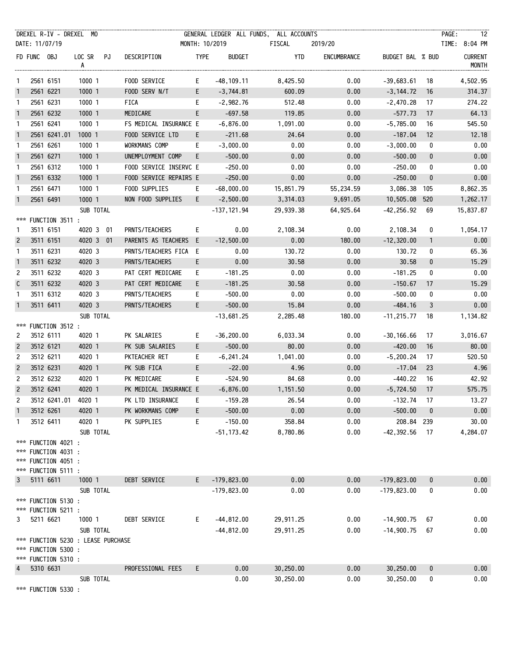|                |             | DREXEL R-IV - DREXEL MO          |                                    |                        |                |               | GENERAL LEDGER ALL FUNDS, ALL ACCOUNTS |             |                  |                 | PAGE:<br>- 12                  |
|----------------|-------------|----------------------------------|------------------------------------|------------------------|----------------|---------------|----------------------------------------|-------------|------------------|-----------------|--------------------------------|
|                |             | DATE: 11/07/19                   |                                    |                        | MONTH: 10/2019 |               | FISCAL                                 | 2019/20     |                  |                 | TIME: 8:04 PM                  |
|                | FD FUNC OBJ |                                  | LOC SR PJ<br>A                     | DESCRIPTION            | <b>TYPE</b>    | <b>BUDGET</b> | YTD                                    | ENCUMBRANCE | BUDGET BAL % BUD |                 | <b>CURRENT</b><br><b>MONTH</b> |
| $\mathbf{1}$   |             | 2561 6151                        | 1000 1                             | FOOD SERVICE           | E.             | $-48, 109.11$ | 8,425.50                               | 0.00        | $-39,683.61$     | 18              | 4,502.95                       |
| $\mathbf{1}$   |             | 2561 6221                        | 1000 1                             | FOOD SERV N/T          | E              | -3,744.81     | 600.09                                 | 0.00        | $-3,144.72$      | 16              | 314.37                         |
| $\mathbf{1}$   |             | 2561 6231                        | 1000 1                             | FICA                   | E.             | -2,982.76     | 512.48                                 | 0.00        | -2,470.28        | 17              | 274.22                         |
| $\mathbf{1}$   |             | 2561 6232                        | 1000 1                             | MEDICARE               | E.             | $-697.58$     | 119.85                                 | 0.00        | $-577.73$        | 17              | 64.13                          |
| $\mathbf{1}$   |             | 2561 6241                        | 1000 1                             | FS MEDICAL INSURANCE E |                | $-6,876.00$   | 1,091.00                               | 0.00        | $-5,785.00$      | 16              | 545.50                         |
| $\mathbf{1}$   |             | 2561 6241.01                     | 1000 1                             | FOOD SERVICE LTD       | E.             | $-211.68$     | 24.64                                  | 0.00        | $-187.04$        | 12 <sup>2</sup> | 12.18                          |
| $\mathbf{1}$   |             | 2561 6261                        | 1000 1                             | WORKMANS COMP          | E.             | $-3,000.00$   | 0.00                                   | 0.00        | $-3,000.00$      | 0               | 0.00                           |
| $\overline{1}$ |             | 2561 6271                        | 1000 1                             | UNEMPLOYMENT COMP      | E              | $-500.00$     | 0.00                                   | 0.00        | $-500.00$        | $\mathbf{0}$    | 0.00                           |
| $\mathbf{1}$   |             | 2561 6312                        | 1000 1                             | FOOD SERVICE INSERVC E |                | $-250.00$     | 0.00                                   | 0.00        | $-250.00$        | 0               | 0.00                           |
| $\mathbf{1}$   |             | 2561 6332                        | 1000 1                             | FOOD SERVICE REPAIRS E |                | $-250.00$     | 0.00                                   | 0.00        | $-250.00$        | $\mathbf 0$     | 0.00                           |
| $\mathbf{1}$   |             | 2561 6471                        | 1000 1                             | FOOD SUPPLIES          | E.             | $-68,000.00$  | 15,851.79                              | 55,234.59   | 3,086.38         | 105             | 8,862.35                       |
| $\mathbf{1}$   |             | 2561 6491                        | 1000 1                             | NON FOOD SUPPLIES      | E.             | $-2,500.00$   | 3,314.03                               | 9,691.05    | 10,505.08        | 520             | 1,262.17                       |
|                |             |                                  | SUB TOTAL                          |                        |                | -137,121.94   | 29,939.38                              | 64,925.64   | $-42, 256.92$    | 69              | 15,837.87                      |
| ***            |             | FUNCTION 3511 :                  |                                    |                        |                |               |                                        |             |                  |                 |                                |
| 1              |             | 3511 6151                        | 4020 3 01                          | PRNTS/TEACHERS         | E.             | 0.00          | 2,108.34                               | 0.00        | 2,108.34         | 0               | 1,054.17                       |
| $\overline{c}$ |             | 3511 6151                        | 4020 3 01                          | PARENTS AS TEACHERS E  |                | $-12,500.00$  | 0.00                                   | 180.00      | $-12,320.00$     | $\mathbf{1}$    | 0.00                           |
| $\mathbf{1}$   |             | 3511 6231                        | 4020 3                             | PRNTS/TEACHERS FICA E  |                | 0.00          | 130.72                                 | 0.00        | 130.72           | 0               | 65.36                          |
| $\mathbf{1}$   |             | 3511 6232                        | 4020 3                             | PRNTS/TEACHERS         | E.             | 0.00          | 30.58                                  | 0.00        | 30.58            | $\mathbf 0$     | 15.29                          |
| $\overline{c}$ |             | 3511 6232                        | 4020 3                             | PAT CERT MEDICARE      | E.             | $-181.25$     | 0.00                                   | 0.00        | $-181.25$        | $\mathbf 0$     | 0.00                           |
| $\mathsf{C}$   |             | 3511 6232                        | 4020 3                             | PAT CERT MEDICARE      | E.             | $-181.25$     | 30.58                                  | 0.00        | $-150.67$        | 17              | 15.29                          |
| $\mathbf{1}$   |             | 3511 6312                        | 4020 3                             | PRNTS/TEACHERS         | E.             | $-500.00$     | 0.00                                   | 0.00        | $-500.00$        | 0               | 0.00                           |
| $\mathbf{1}$   |             | 3511 6411                        | 4020 3                             | PRNTS/TEACHERS         | E              | $-500.00$     | 15.84                                  | 0.00        | $-484.16$        | 3               | 0.00                           |
|                |             |                                  | SUB TOTAL                          |                        |                | $-13,681.25$  | 2,285.48                               | 180.00      | $-11, 215.77$    | 18              | 1,134.82                       |
|                |             | *** FUNCTION 3512 :              |                                    |                        |                |               |                                        |             |                  |                 |                                |
| 2              |             | 3512 6111                        | 4020 1                             | PK SALARIES            | E.             | $-36,200.00$  | 6,033.34                               | 0.00        | $-30, 166.66$    | 17              | 3,016.67                       |
| $\overline{c}$ |             | 3512 6121                        | 4020 1                             | PK SUB SALARIES        | E              | $-500.00$     | 80.00                                  | 0.00        | $-420.00$        | 16              | 80.00                          |
| 2              |             | 3512 6211                        | 4020 1                             | PKTEACHER RET          | E.             | -6,241.24     | 1,041.00                               | 0.00        | -5,200.24        | 17              | 520.50                         |
| $\overline{c}$ |             | 3512 6231                        | 4020 1                             | PK SUB FICA            | E              | $-22.00$      | 4.96                                   | 0.00        | $-17.04$         | 23              | 4.96                           |
| 2              |             | 3512 6232                        | 4020 1                             | PK MEDICARE            | E.             | $-524.90$     | 84.68                                  | 0.00        | $-440.22$        | 16              | 42.92                          |
| $\overline{2}$ |             | 3512 6241                        | 4020 1                             | PK MEDICAL INSURANCE E |                | $-6,876.00$   | 1,151.50                               | 0.00        | $-5,724.50$      | 17              | 575.75                         |
| 2              |             |                                  | 3512 6241.01 4020 1                | PK LTD INSURANCE       |                | $-159.28$     | 26.54                                  | 0.00        | -132.74          | 17              | 13.27                          |
| 1              |             | 3512 6261                        | 4020 1                             | PK WORKMANS COMP       | E.             | $-500.00$     | 0.00                                   | 0.00        | $-500.00$        | $\mathbf{0}$    | 0.00                           |
| 1              |             | 3512 6411                        | 4020 1                             | PK SUPPLIES            | E.             | $-150.00$     | 358.84                                 | 0.00        | 208.84 239       |                 | 30.00                          |
|                |             |                                  | SUB TOTAL                          |                        |                | $-51, 173.42$ | 8,780.86                               | 0.00        | $-42,392.56$     | - 17            | 4,284.07                       |
|                |             | *** FUNCTION 4021 :              |                                    |                        |                |               |                                        |             |                  |                 |                                |
|                |             | *** FUNCTION 4031 :              |                                    |                        |                |               |                                        |             |                  |                 |                                |
|                |             | *** FUNCTION 4051 :              |                                    |                        |                |               |                                        |             |                  |                 |                                |
| 3              |             | *** FUNCTION 5111 :<br>5111 6611 | 1000 1                             | DEBT SERVICE           | E.             | $-179,823.00$ | 0.00                                   | 0.00        | $-179,823.00$    | $\mathbf 0$     | 0.00                           |
|                |             |                                  | SUB TOTAL                          |                        |                | $-179,823.00$ | 0.00                                   | 0.00        | $-179,823.00$    | 0               | 0.00                           |
|                |             | *** FUNCTION 5130 :              |                                    |                        |                |               |                                        |             |                  |                 |                                |
|                |             | *** FUNCTION 5211 :              |                                    |                        |                |               |                                        |             |                  |                 |                                |
| 3              |             | 5211 6621                        | 1000 1                             | DEBT SERVICE           | E.             | $-44,812.00$  | 29,911.25                              | 0.00        | $-14,900.75$     | 67              | 0.00                           |
|                |             |                                  | SUB TOTAL                          |                        |                | $-44,812.00$  | 29,911.25                              | 0.00        | $-14,900.75$     | 67              | 0.00                           |
|                |             |                                  | *** FUNCTION 5230 : LEASE PURCHASE |                        |                |               |                                        |             |                  |                 |                                |
|                |             | *** FUNCTION 5300 :              |                                    |                        |                |               |                                        |             |                  |                 |                                |
|                |             | *** FUNCTION 5310 :              |                                    |                        |                |               |                                        |             |                  |                 |                                |
| 4              |             | 5310 6631                        |                                    | PROFESSIONAL FEES      | E.             | 0.00          | 30,250.00                              | 0.00        | 30,250.00        | $\mathbf{0}$    | 0.00                           |
|                |             |                                  | SUB TOTAL                          |                        |                | 0.00          | 30,250.00                              | 0.00        | 30,250.00        | 0               | 0.00                           |
|                |             | *** FUNCTION 5330 :              |                                    |                        |                |               |                                        |             |                  |                 |                                |